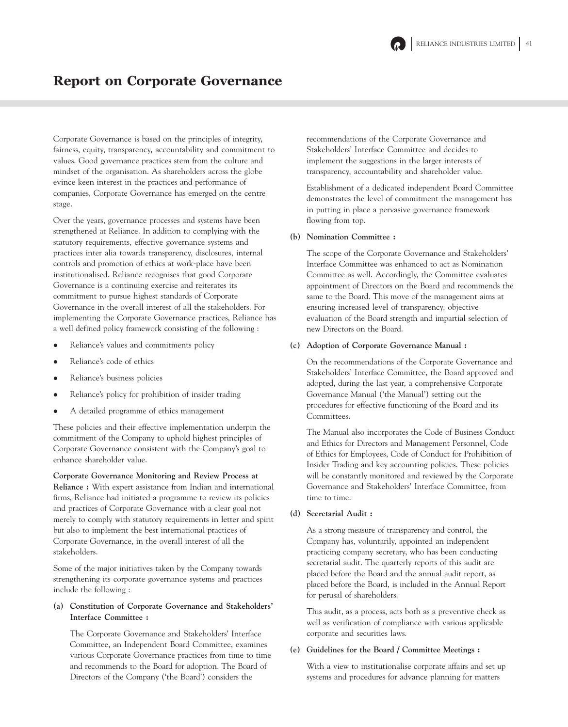

## Report on Corporate Governance

Corporate Governance is based on the principles of integrity, fairness, equity, transparency, accountability and commitment to values. Good governance practices stem from the culture and mindset of the organisation. As shareholders across the globe evince keen interest in the practices and performance of companies, Corporate Governance has emerged on the centre stage.

Over the years, governance processes and systems have been strengthened at Reliance. In addition to complying with the statutory requirements, effective governance systems and practices inter alia towards transparency, disclosures, internal controls and promotion of ethics at work-place have been institutionalised. Reliance recognises that good Corporate Governance is a continuing exercise and reiterates its commitment to pursue highest standards of Corporate Governance in the overall interest of all the stakeholders. For implementing the Corporate Governance practices, Reliance has a well defined policy framework consisting of the following :

- Reliance's values and commitments policy
- Reliance's code of ethics
- Reliance's business policies
- Reliance's policy for prohibition of insider trading
- A detailed programme of ethics management

These policies and their effective implementation underpin the commitment of the Company to uphold highest principles of Corporate Governance consistent with the Company's goal to enhance shareholder value.

**Corporate Governance Monitoring and Review Process at Reliance :** With expert assistance from Indian and international firms, Reliance had initiated a programme to review its policies and practices of Corporate Governance with a clear goal not merely to comply with statutory requirements in letter and spirit but also to implement the best international practices of Corporate Governance, in the overall interest of all the stakeholders.

Some of the major initiatives taken by the Company towards strengthening its corporate governance systems and practices include the following :

## **(a) Constitution of Corporate Governance and Stakeholders' Interface Committee :**

The Corporate Governance and Stakeholders' Interface Committee, an Independent Board Committee, examines various Corporate Governance practices from time to time and recommends to the Board for adoption. The Board of Directors of the Company ('the Board') considers the

recommendations of the Corporate Governance and Stakeholders' Interface Committee and decides to implement the suggestions in the larger interests of transparency, accountability and shareholder value.

Establishment of a dedicated independent Board Committee demonstrates the level of commitment the management has in putting in place a pervasive governance framework flowing from top.

### **(b) Nomination Committee :**

The scope of the Corporate Governance and Stakeholders' Interface Committee was enhanced to act as Nomination Committee as well. Accordingly, the Committee evaluates appointment of Directors on the Board and recommends the same to the Board. This move of the management aims at ensuring increased level of transparency, objective evaluation of the Board strength and impartial selection of new Directors on the Board.

## **(c) Adoption of Corporate Governance Manual :**

On the recommendations of the Corporate Governance and Stakeholders' Interface Committee, the Board approved and adopted, during the last year, a comprehensive Corporate Governance Manual ('the Manual') setting out the procedures for effective functioning of the Board and its Committees.

The Manual also incorporates the Code of Business Conduct and Ethics for Directors and Management Personnel, Code of Ethics for Employees, Code of Conduct for Prohibition of Insider Trading and key accounting policies. These policies will be constantly monitored and reviewed by the Corporate Governance and Stakeholders' Interface Committee, from time to time.

**(d) Secretarial Audit :**

As a strong measure of transparency and control, the Company has, voluntarily, appointed an independent practicing company secretary, who has been conducting secretarial audit. The quarterly reports of this audit are placed before the Board and the annual audit report, as placed before the Board, is included in the Annual Report for perusal of shareholders.

This audit, as a process, acts both as a preventive check as well as verification of compliance with various applicable corporate and securities laws.

### **(e) Guidelines for the Board / Committee Meetings :**

With a view to institutionalise corporate affairs and set up systems and procedures for advance planning for matters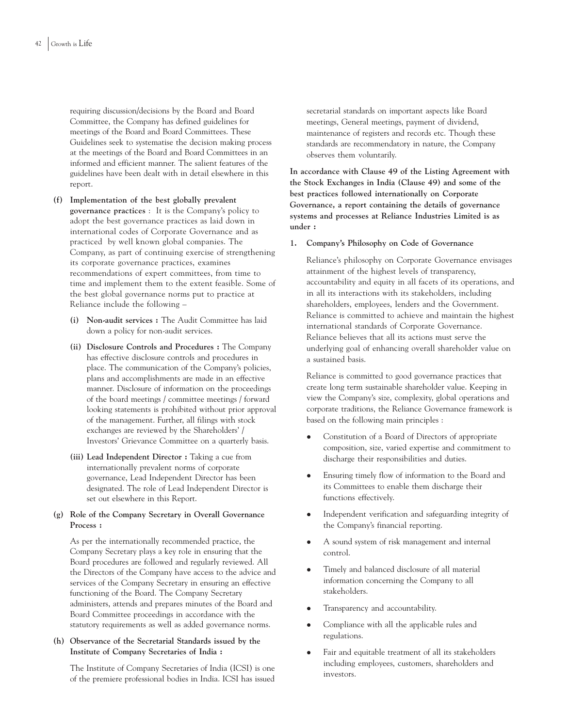requiring discussion/decisions by the Board and Board Committee, the Company has defined guidelines for meetings of the Board and Board Committees. These Guidelines seek to systematise the decision making process at the meetings of the Board and Board Committees in an informed and efficient manner. The salient features of the guidelines have been dealt with in detail elsewhere in this report.

- **(f) Implementation of the best globally prevalent governance practices** : It is the Company's policy to adopt the best governance practices as laid down in international codes of Corporate Governance and as practiced by well known global companies. The Company, as part of continuing exercise of strengthening its corporate governance practices, examines recommendations of expert committees, from time to time and implement them to the extent feasible. Some of the best global governance norms put to practice at Reliance include the following –
	- **(i) Non-audit services :** The Audit Committee has laid down a policy for non-audit services.
	- **(ii) Disclosure Controls and Procedures :** The Company has effective disclosure controls and procedures in place. The communication of the Company's policies, plans and accomplishments are made in an effective manner. Disclosure of information on the proceedings of the board meetings / committee meetings / forward looking statements is prohibited without prior approval of the management. Further, all filings with stock exchanges are reviewed by the Shareholders' / Investors' Grievance Committee on a quarterly basis.
	- **(iii) Lead Independent Director :** Taking a cue from internationally prevalent norms of corporate governance, Lead Independent Director has been designated. The role of Lead Independent Director is set out elsewhere in this Report.

## **(g) Role of the Company Secretary in Overall Governance Process :**

As per the internationally recommended practice, the Company Secretary plays a key role in ensuring that the Board procedures are followed and regularly reviewed. All the Directors of the Company have access to the advice and services of the Company Secretary in ensuring an effective functioning of the Board. The Company Secretary administers, attends and prepares minutes of the Board and Board Committee proceedings in accordance with the statutory requirements as well as added governance norms.

## **(h) Observance of the Secretarial Standards issued by the Institute of Company Secretaries of India :**

The Institute of Company Secretaries of India (ICSI) is one of the premiere professional bodies in India. ICSI has issued

secretarial standards on important aspects like Board meetings, General meetings, payment of dividend, maintenance of registers and records etc. Though these standards are recommendatory in nature, the Company observes them voluntarily.

**In accordance with Clause 49 of the Listing Agreement with the Stock Exchanges in India (Clause 49) and some of the best practices followed internationally on Corporate Governance, a report containing the details of governance systems and processes at Reliance Industries Limited is as under :**

### **1. Company's Philosophy on Code of Governance**

Reliance's philosophy on Corporate Governance envisages attainment of the highest levels of transparency, accountability and equity in all facets of its operations, and in all its interactions with its stakeholders, including shareholders, employees, lenders and the Government. Reliance is committed to achieve and maintain the highest international standards of Corporate Governance. Reliance believes that all its actions must serve the underlying goal of enhancing overall shareholder value on a sustained basis.

Reliance is committed to good governance practices that create long term sustainable shareholder value. Keeping in view the Company's size, complexity, global operations and corporate traditions, the Reliance Governance framework is based on the following main principles :

- Constitution of a Board of Directors of appropriate composition, size, varied expertise and commitment to discharge their responsibilities and duties.
- Ensuring timely flow of information to the Board and its Committees to enable them discharge their functions effectively.
- Independent verification and safeguarding integrity of the Company's financial reporting.
- A sound system of risk management and internal control.
- Timely and balanced disclosure of all material information concerning the Company to all stakeholders.
- Transparency and accountability.
- Compliance with all the applicable rules and regulations.
- Fair and equitable treatment of all its stakeholders including employees, customers, shareholders and investors.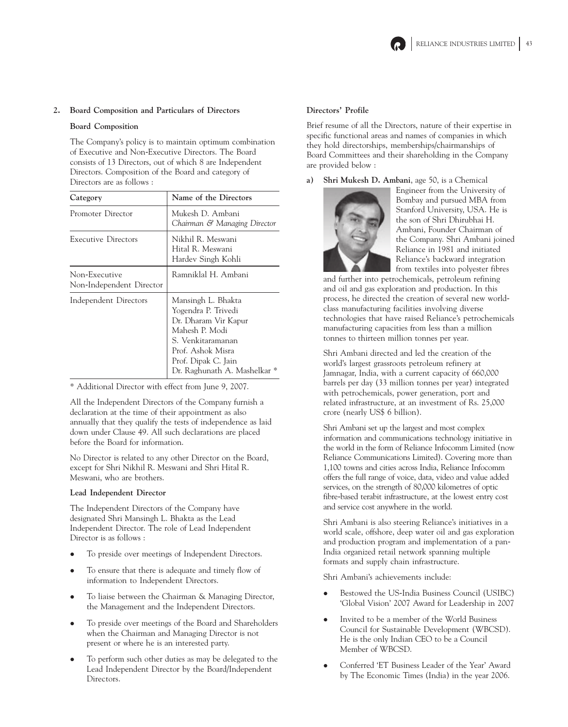

## **2. Board Composition and Particulars of Directors**

### **Board Composition**

The Company's policy is to maintain optimum combination of Executive and Non-Executive Directors. The Board consists of 13 Directors, out of which 8 are Independent Directors. Composition of the Board and category of Directors are as follows :

| Category                                  | Name of the Directors                                                                                                                                                                |
|-------------------------------------------|--------------------------------------------------------------------------------------------------------------------------------------------------------------------------------------|
| Promoter Director                         | Mukesh D. Ambani<br>Chairman & Managing Director                                                                                                                                     |
| <b>Executive Directors</b>                | Nikhil R. Meswani<br>Hital R. Meswani<br>Hardev Singh Kohli                                                                                                                          |
| Non-Executive<br>Non-Independent Director | Ramniklal H. Ambani                                                                                                                                                                  |
| Independent Directors                     | Mansingh L. Bhakta<br>Yogendra P. Trivedi<br>Dr. Dharam Vir Kapur<br>Mahesh P. Modi<br>S. Venkitaramanan<br>Prof. Ashok Misra<br>Prof. Dipak C. Jain<br>Dr. Raghunath A. Mashelkar * |

\* Additional Director with effect from June 9, 2007.

All the Independent Directors of the Company furnish a declaration at the time of their appointment as also annually that they qualify the tests of independence as laid down under Clause 49. All such declarations are placed before the Board for information.

No Director is related to any other Director on the Board, except for Shri Nikhil R. Meswani and Shri Hital R. Meswani, who are brothers.

### **Lead Independent Director**

The Independent Directors of the Company have designated Shri Mansingh L. Bhakta as the Lead Independent Director. The role of Lead Independent Director is as follows :

- To preside over meetings of Independent Directors.
- To ensure that there is adequate and timely flow of information to Independent Directors.
- To liaise between the Chairman & Managing Director, the Management and the Independent Directors.
- To preside over meetings of the Board and Shareholders when the Chairman and Managing Director is not present or where he is an interested party.
- To perform such other duties as may be delegated to the Lead Independent Director by the Board/Independent Directors.

## **Directors' Profile**

Brief resume of all the Directors, nature of their expertise in specific functional areas and names of companies in which they hold directorships, memberships/chairmanships of Board Committees and their shareholding in the Company are provided below :

**a) Shri Mukesh D. Ambani**, age 50, is a Chemical



Engineer from the University of Bombay and pursued MBA from Stanford University, USA. He is the son of Shri Dhirubhai H. Ambani, Founder Chairman of the Company. Shri Ambani joined Reliance in 1981 and initiated Reliance's backward integration from textiles into polyester fibres

and further into petrochemicals, petroleum refining and oil and gas exploration and production. In this process, he directed the creation of several new worldclass manufacturing facilities involving diverse technologies that have raised Reliance's petrochemicals manufacturing capacities from less than a million tonnes to thirteen million tonnes per year.

Shri Ambani directed and led the creation of the world's largest grassroots petroleum refinery at Jamnagar, India, with a current capacity of 660,000 barrels per day (33 million tonnes per year) integrated with petrochemicals, power generation, port and related infrastructure, at an investment of Rs. 25,000 crore (nearly US\$ 6 billion).

Shri Ambani set up the largest and most complex information and communications technology initiative in the world in the form of Reliance Infocomm Limited (now Reliance Communications Limited). Covering more than 1,100 towns and cities across India, Reliance Infocomm offers the full range of voice, data, video and value added services, on the strength of 80,000 kilometres of optic fibre-based terabit infrastructure, at the lowest entry cost and service cost anywhere in the world.

Shri Ambani is also steering Reliance's initiatives in a world scale, offshore, deep water oil and gas exploration and production program and implementation of a pan-India organized retail network spanning multiple formats and supply chain infrastructure.

Shri Ambani's achievements include:

- Bestowed the US-India Business Council (USIBC) 'Global Vision' 2007 Award for Leadership in 2007
- Invited to be a member of the World Business Council for Sustainable Development (WBCSD). He is the only Indian CEO to be a Council Member of WBCSD.
- Conferred 'ET Business Leader of the Year' Award by The Economic Times (India) in the year 2006.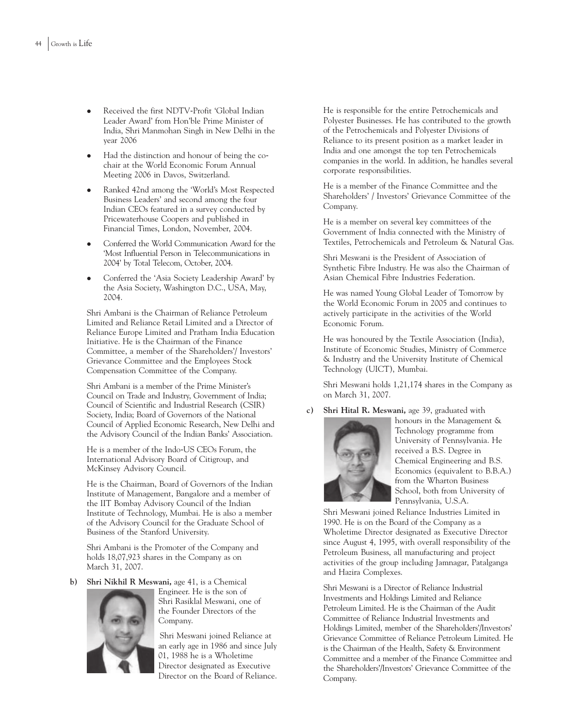- Received the first NDTV-Profit 'Global Indian Leader Award' from Hon'ble Prime Minister of India, Shri Manmohan Singh in New Delhi in the year 2006
- Had the distinction and honour of being the cochair at the World Economic Forum Annual Meeting 2006 in Davos, Switzerland.
- Ranked 42nd among the 'World's Most Respected Business Leaders' and second among the four Indian CEOs featured in a survey conducted by Pricewaterhouse Coopers and published in Financial Times, London, November, 2004.
- Conferred the World Communication Award for the 'Most Influential Person in Telecommunications in 2004' by Total Telecom, October, 2004.
- Conferred the 'Asia Society Leadership Award' by the Asia Society, Washington D.C., USA, May, 2004.

Shri Ambani is the Chairman of Reliance Petroleum Limited and Reliance Retail Limited and a Director of Reliance Europe Limited and Pratham India Education Initiative. He is the Chairman of the Finance Committee, a member of the Shareholders'/ Investors' Grievance Committee and the Employees Stock Compensation Committee of the Company.

Shri Ambani is a member of the Prime Minister's Council on Trade and Industry, Government of India; Council of Scientific and Industrial Research (CSIR) Society, India; Board of Governors of the National Council of Applied Economic Research, New Delhi and the Advisory Council of the Indian Banks' Association.

He is a member of the Indo-US CEOs Forum, the International Advisory Board of Citigroup, and McKinsey Advisory Council.

He is the Chairman, Board of Governors of the Indian Institute of Management, Bangalore and a member of the IIT Bombay Advisory Council of the Indian Institute of Technology, Mumbai. He is also a member of the Advisory Council for the Graduate School of Business of the Stanford University.

Shri Ambani is the Promoter of the Company and holds 18,07,923 shares in the Company as on March 31, 2007.

**b) Shri Nikhil R Meswani,** age 41, is a Chemical



Engineer. He is the son of Shri Rasiklal Meswani, one of the Founder Directors of the Company.

Shri Meswani joined Reliance at an early age in 1986 and since July 01, 1988 he is a Wholetime Director designated as Executive Director on the Board of Reliance.

He is responsible for the entire Petrochemicals and Polyester Businesses. He has contributed to the growth of the Petrochemicals and Polyester Divisions of Reliance to its present position as a market leader in India and one amongst the top ten Petrochemicals companies in the world. In addition, he handles several corporate responsibilities.

He is a member of the Finance Committee and the Shareholders' / Investors' Grievance Committee of the Company.

He is a member on several key committees of the Government of India connected with the Ministry of Textiles, Petrochemicals and Petroleum & Natural Gas.

Shri Meswani is the President of Association of Synthetic Fibre Industry. He was also the Chairman of Asian Chemical Fibre Industries Federation.

He was named Young Global Leader of Tomorrow by the World Economic Forum in 2005 and continues to actively participate in the activities of the World Economic Forum.

He was honoured by the Textile Association (India), Institute of Economic Studies, Ministry of Commerce & Industry and the University Institute of Chemical Technology (UICT), Mumbai.

Shri Meswani holds 1,21,174 shares in the Company as on March 31, 2007.

**c) Shri Hital R. Meswani,** age 39, graduated with



honours in the Management & Technology programme from University of Pennsylvania. He received a B.S. Degree in Chemical Engineering and B.S. Economics (equivalent to B.B.A.) from the Wharton Business School, both from University of Pennsylvania, U.S.A.

Shri Meswani joined Reliance Industries Limited in 1990. He is on the Board of the Company as a Wholetime Director designated as Executive Director since August 4, 1995, with overall responsibility of the Petroleum Business, all manufacturing and project activities of the group including Jamnagar, Patalganga and Hazira Complexes.

Shri Meswani is a Director of Reliance Industrial Investments and Holdings Limited and Reliance Petroleum Limited. He is the Chairman of the Audit Committee of Reliance Industrial Investments and Holdings Limited, member of the Shareholders'/Investors' Grievance Committee of Reliance Petroleum Limited. He is the Chairman of the Health, Safety & Environment Committee and a member of the Finance Committee and the Shareholders'/Investors' Grievance Committee of the Company.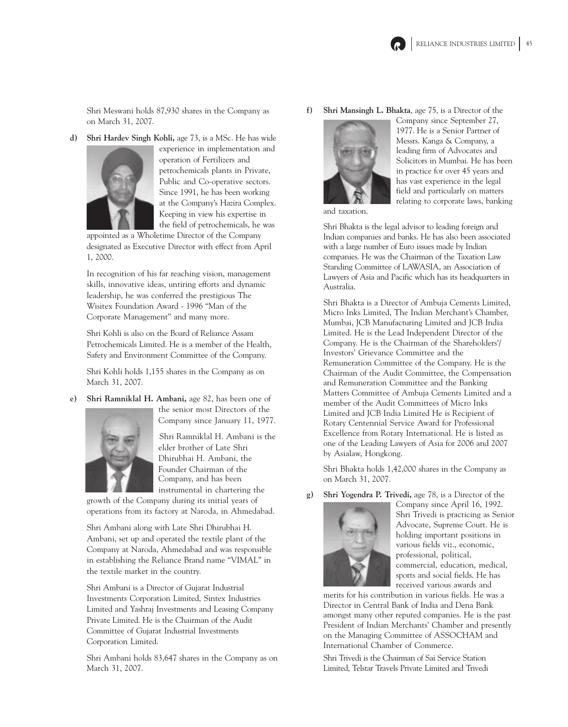Shri Meswani holds 87,930 shares in the Company as on March 31, 2007.

**d) Shri Hardev Singh Kohli,** age 73, is a MSc. He has wide



experience in implementation and operation of Fertilizers and petrochemicals plants in Private, Public and Co-operative sectors. Since 1991, he has been working at the Company's Hazira Complex. Keeping in view his expertise in the field of petrochemicals, he was

appointed as a Wholetime Director of the Company designated as Executive Director with effect from April 1, 2000.

In recognition of his far reaching vision, management skills, innovative ideas, untiring efforts and dynamic leadership, he was conferred the prestigious The Wisitex Foundation Award - 1996 "Man of the Corporate Management" and many more.

Shri Kohli is also on the Board of Reliance Assam Petrochemicals Limited. He is a member of the Health, Safety and Environment Committee of the Company.

Shri Kohli holds 1,155 shares in the Company as on March 31, 2007.

**e) Shri Ramniklal H. Ambani,** age 82, has been one of



the senior most Directors of the Company since January 11, 1977.

Shri Ramniklal H. Ambani is the elder brother of Late Shri Dhirubhai H. Ambani, the Founder Chairman of the Company, and has been instrumental in chartering the

growth of the Company during its initial years of operations from its factory at Naroda, in Ahmedabad.

Shri Ambani along with Late Shri Dhirubhai H. Ambani, set up and operated the textile plant of the Company at Naroda, Ahmedabad and was responsible in establishing the Reliance Brand name "VIMAL" in the textile market in the country.

Shri Ambani is a Director of Gujarat Industrial Investments Corporation Limited, Sintex Industries Limited and Yashraj Investments and Leasing Company Private Limited. He is the Chairman of the Audit Committee of Gujarat Industrial Investments Corporation Limited.

Shri Ambani holds 83,647 shares in the Company as on March 31, 2007.

### **f) Shri Mansingh L. Bhakta**, age 75, is a Director of the



Company since September 27, 1977. He is a Senior Partner of Messrs. Kanga & Company, a leading firm of Advocates and Solicitors in Mumbai. He has been in practice for over 45 years and has vast experience in the legal field and particularly on matters relating to corporate laws, banking

and taxation.

Shri Bhakta is the legal advisor to leading foreign and Indian companies and banks. He has also been associated with a large number of Euro issues made by Indian companies. He was the Chairman of the Taxation Law Standing Committee of LAWASIA, an Association of Lawyers of Asia and Pacific which has its headquarters in Australia.

Shri Bhakta is a Director of Ambuja Cements Limited, Micro Inks Limited, The Indian Merchant's Chamber, Mumbai, JCB Manufacturing Limited and JCB India Limited. He is the Lead Independent Director of the Company. He is the Chairman of the Shareholders'/ Investors' Grievance Committee and the Remuneration Committee of the Company. He is the Chairman of the Audit Committee, the Compensation and Remuneration Committee and the Banking Matters Committee of Ambuja Cements Limited and a member of the Audit Committees of Micro Inks Limited and JCB India Limited He is Recipient of Rotary Centennial Service Award for Professional Excellence from Rotary International. He is listed as one of the Leading Lawyers of Asia for 2006 and 2007 by Asialaw, Hongkong.

Shri Bhakta holds 1,42,000 shares in the Company as on March 31, 2007.

**g) Shri Yogendra P. Trivedi,** age 78, is a Director of the



Company since April 16, 1992. Shri Trivedi is practicing as Senior Advocate, Supreme Court. He is holding important positions in various fields viz., economic, professional, political, commercial, education, medical, sports and social fields. He has received various awards and

merits for his contribution in various fields. He was a Director in Central Bank of India and Dena Bank amongst many other reputed companies. He is the past President of Indian Merchants' Chamber and presently on the Managing Committee of ASSOCHAM and International Chamber of Commerce.

Shri Trivedi is the Chairman of Sai Service Station Limited, Telstar Travels Private Limited and Trivedi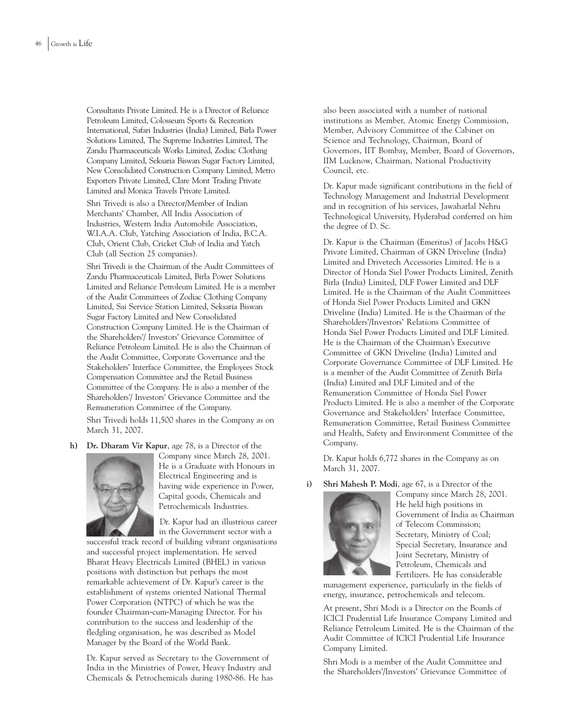Consultants Private Limited. He is a Director of Reliance Petroleum Limited, Colosseum Sports & Recreation International, Safari Industries (India) Limited, Birla Power Solutions Limited, The Supreme Industries Limited, The Zandu Pharmaceuticals Works Limited, Zodiac Clothing Company Limited, Seksaria Biswan Sugar Factory Limited, New Consolidated Construction Company Limited, Metro Exporters Private Limited, Clare Mont Trading Private Limited and Monica Travels Private Limited.

Shri Trivedi is also a Director/Member of Indian Merchants' Chamber, All India Association of Industries, Western India Automobile Association, W.I.A.A. Club, Yatching Association of India, B.C.A. Club, Orient Club, Cricket Club of India and Yatch Club (all Section 25 companies).

Shri Trivedi is the Chairman of the Audit Committees of Zandu Pharmaceuticals Limited, Birla Power Solutions Limited and Reliance Petroleum Limited. He is a member of the Audit Committees of Zodiac Clothing Company Limited, Sai Service Station Limited, Seksaria Biswan Sugar Factory Limited and New Consolidated Construction Company Limited. He is the Chairman of the Shareholders'/ Investors' Grievance Committee of Reliance Petroleum Limited. He is also the Chairman of the Audit Committee, Corporate Governance and the Stakeholders' Interface Committee, the Employees Stock Compensation Committee and the Retail Business Committee of the Company. He is also a member of the Shareholders'/ Investors' Grievance Committee and the Remuneration Committee of the Company.

Shri Trivedi holds 11,500 shares in the Company as on March 31, 2007.

**h) Dr. Dharam Vir Kapur**, age 78, is a Director of the



Company since March 28, 2001. He is a Graduate with Honours in Electrical Engineering and is having wide experience in Power, Capital goods, Chemicals and Petrochemicals Industries.

Dr. Kapur had an illustrious career in the Government sector with a

successful track record of building vibrant organisations and successful project implementation. He served Bharat Heavy Electricals Limited (BHEL) in various positions with distinction but perhaps the most remarkable achievement of Dr. Kapur's career is the establishment of systems oriented National Thermal Power Corporation (NTPC) of which he was the founder Chairman-cum-Managing Director. For his contribution to the success and leadership of the fledgling organisation, he was described as Model Manager by the Board of the World Bank.

Dr. Kapur served as Secretary to the Government of India in the Ministries of Power, Heavy Industry and Chemicals & Petrochemicals during 1980-86. He has also been associated with a number of national institutions as Member, Atomic Energy Commission, Member, Advisory Committee of the Cabinet on Science and Technology, Chairman, Board of Governors, IIT Bombay, Member, Board of Governors, IIM Lucknow, Chairman, National Productivity Council, etc.

Dr. Kapur made significant contributions in the field of Technology Management and Industrial Development and in recognition of his services, Jawaharlal Nehru Technological University, Hyderabad conferred on him the degree of D. Sc.

Dr. Kapur is the Chairman (Emeritus) of Jacobs H&G Private Limited, Chairman of GKN Driveline (India) Limited and Drivetech Accessories Limited. He is a Director of Honda Siel Power Products Limited, Zenith Birla (India) Limited, DLF Power Limited and DLF Limited. He is the Chairman of the Audit Committees of Honda Siel Power Products Limited and GKN Driveline (India) Limited. He is the Chairman of the Shareholders'/Investors' Relations Committee of Honda Siel Power Products Limited and DLF Limited. He is the Chairman of the Chairman's Executive Committee of GKN Driveline (India) Limited and Corporate Governance Committee of DLF Limited. He is a member of the Audit Committee of Zenith Birla (India) Limited and DLF Limited and of the Remuneration Committee of Honda Siel Power Products Limited. He is also a member of the Corporate Governance and Stakeholders' Interface Committee, Remuneration Committee, Retail Business Committee and Health, Safety and Environment Committee of the Company.

Dr. Kapur holds 6,772 shares in the Company as on March 31, 2007.

**i) Shri Mahesh P. Modi**, age 67, is a Director of the



Company since March 28, 2001. He held high positions in Government of India as Chairman of Telecom Commission; Secretary, Ministry of Coal; Special Secretary, Insurance and Joint Secretary, Ministry of Petroleum, Chemicals and Fertilizers. He has considerable

management experience, particularly in the fields of energy, insurance, petrochemicals and telecom.

At present, Shri Modi is a Director on the Boards of ICICI Prudential Life Insurance Company Limited and Reliance Petroleum Limited. He is the Chairman of the Audit Committee of ICICI Prudential Life Insurance Company Limited.

Shri Modi is a member of the Audit Committee and the Shareholders'/Investors' Grievance Committee of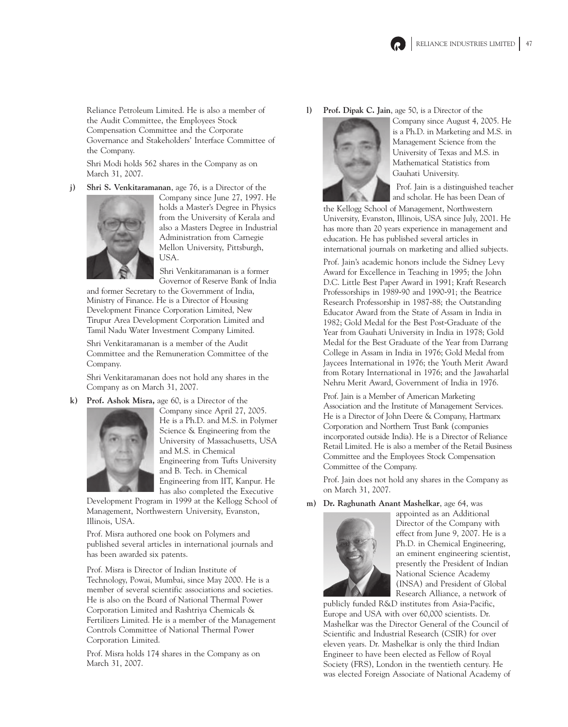

Reliance Petroleum Limited. He is also a member of the Audit Committee, the Employees Stock Compensation Committee and the Corporate Governance and Stakeholders' Interface Committee of the Company.

Shri Modi holds 562 shares in the Company as on March 31, 2007.

**j) Shri S. Venkitaramanan**, age 76, is a Director of the



Company since June 27, 1997. He holds a Master's Degree in Physics from the University of Kerala and also a Masters Degree in Industrial Administration from Carnegie Mellon University, Pittsburgh, USA.

Shri Venkitaramanan is a former Governor of Reserve Bank of India

and former Secretary to the Government of India, Ministry of Finance. He is a Director of Housing Development Finance Corporation Limited, New Tirupur Area Development Corporation Limited and Tamil Nadu Water Investment Company Limited.

Shri Venkitaramanan is a member of the Audit Committee and the Remuneration Committee of the Company.

Shri Venkitaramanan does not hold any shares in the Company as on March 31, 2007.

**k) Prof. Ashok Misra,** age 60, is a Director of the



Company since April 27, 2005. He is a Ph.D. and M.S. in Polymer Science & Engineering from the University of Massachusetts, USA and M.S. in Chemical Engineering from Tufts University and B. Tech. in Chemical Engineering from IIT, Kanpur. He has also completed the Executive

Development Program in 1999 at the Kellogg School of Management, Northwestern University, Evanston, Illinois, USA.

Prof. Misra authored one book on Polymers and published several articles in international journals and has been awarded six patents.

Prof. Misra is Director of Indian Institute of Technology, Powai, Mumbai, since May 2000. He is a member of several scientific associations and societies. He is also on the Board of National Thermal Power Corporation Limited and Rashtriya Chemicals & Fertilizers Limited. He is a member of the Management Controls Committee of National Thermal Power Corporation Limited.

Prof. Misra holds 174 shares in the Company as on March 31, 2007.

**l) Prof. Dipak C. Jain**, age 50, is a Director of the



Company since August 4, 2005. He is a Ph.D. in Marketing and M.S. in Management Science from the University of Texas and M.S. in Mathematical Statistics from Gauhati University.

Prof. Jain is a distinguished teacher and scholar. He has been Dean of

the Kellogg School of Management, Northwestern University, Evanston, Illinois, USA since July, 2001. He has more than 20 years experience in management and education. He has published several articles in international journals on marketing and allied subjects.

Prof. Jain's academic honors include the Sidney Levy Award for Excellence in Teaching in 1995; the John D.C. Little Best Paper Award in 1991; Kraft Research Professorships in 1989-90 and 1990-91; the Beatrice Research Professorship in 1987-88; the Outstanding Educator Award from the State of Assam in India in 1982; Gold Medal for the Best Post-Graduate of the Year from Gauhati University in India in 1978; Gold Medal for the Best Graduate of the Year from Darrang College in Assam in India in 1976; Gold Medal from Jaycees International in 1976; the Youth Merit Award from Rotary International in 1976; and the Jawaharlal Nehru Merit Award, Government of India in 1976.

Prof. Jain is a Member of American Marketing Association and the Institute of Management Services. He is a Director of John Deere & Company, Hartmarx Corporation and Northern Trust Bank (companies incorporated outside India). He is a Director of Reliance Retail Limited. He is also a member of the Retail Business Committee and the Employees Stock Compensation Committee of the Company.

Prof. Jain does not hold any shares in the Company as on March 31, 2007.

**m) Dr. Raghunath Anant Mashelkar**, age 64, was



appointed as an Additional Director of the Company with effect from June 9, 2007. He is a Ph.D. in Chemical Engineering, an eminent engineering scientist, presently the President of Indian National Science Academy (INSA) and President of Global Research Alliance, a network of

publicly funded R&D institutes from Asia-Pacific, Europe and USA with over 60,000 scientists. Dr. Mashelkar was the Director General of the Council of Scientific and Industrial Research (CSIR) for over eleven years. Dr. Mashelkar is only the third Indian Engineer to have been elected as Fellow of Royal Society (FRS), London in the twentieth century. He was elected Foreign Associate of National Academy of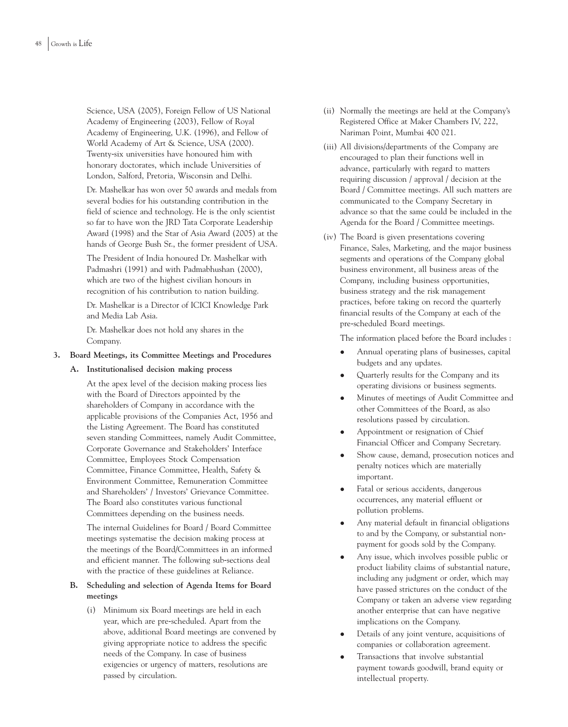Science, USA (2005), Foreign Fellow of US National Academy of Engineering (2003), Fellow of Royal Academy of Engineering, U.K. (1996), and Fellow of World Academy of Art & Science, USA (2000). Twenty-six universities have honoured him with honorary doctorates, which include Universities of London, Salford, Pretoria, Wisconsin and Delhi.

Dr. Mashelkar has won over 50 awards and medals from several bodies for his outstanding contribution in the field of science and technology. He is the only scientist so far to have won the JRD Tata Corporate Leadership Award (1998) and the Star of Asia Award (2005) at the hands of George Bush Sr., the former president of USA.

The President of India honoured Dr. Mashelkar with Padmashri (1991) and with Padmabhushan (2000), which are two of the highest civilian honours in recognition of his contribution to nation building.

Dr. Mashelkar is a Director of ICICI Knowledge Park and Media Lab Asia.

Dr. Mashelkar does not hold any shares in the Company.

## **3. Board Meetings, its Committee Meetings and Procedures**

## **A. Institutionalised decision making process**

At the apex level of the decision making process lies with the Board of Directors appointed by the shareholders of Company in accordance with the applicable provisions of the Companies Act, 1956 and the Listing Agreement. The Board has constituted seven standing Committees, namely Audit Committee, Corporate Governance and Stakeholders' Interface Committee, Employees Stock Compensation Committee, Finance Committee, Health, Safety & Environment Committee, Remuneration Committee and Shareholders' / Investors' Grievance Committee. The Board also constitutes various functional Committees depending on the business needs.

The internal Guidelines for Board / Board Committee meetings systematise the decision making process at the meetings of the Board/Committees in an informed and efficient manner. The following sub-sections deal with the practice of these guidelines at Reliance.

## **B. Scheduling and selection of Agenda Items for Board meetings**

(i) Minimum six Board meetings are held in each year, which are pre-scheduled. Apart from the above, additional Board meetings are convened by giving appropriate notice to address the specific needs of the Company. In case of business exigencies or urgency of matters, resolutions are passed by circulation.

- (ii) Normally the meetings are held at the Company's Registered Office at Maker Chambers IV, 222, Nariman Point, Mumbai 400 021.
- (iii) All divisions/departments of the Company are encouraged to plan their functions well in advance, particularly with regard to matters requiring discussion / approval / decision at the Board / Committee meetings. All such matters are communicated to the Company Secretary in advance so that the same could be included in the Agenda for the Board / Committee meetings.
- (iv) The Board is given presentations covering Finance, Sales, Marketing, and the major business segments and operations of the Company global business environment, all business areas of the Company, including business opportunities, business strategy and the risk management practices, before taking on record the quarterly financial results of the Company at each of the pre-scheduled Board meetings.

The information placed before the Board includes :

- Annual operating plans of businesses, capital budgets and any updates.
- Quarterly results for the Company and its operating divisions or business segments.
- Minutes of meetings of Audit Committee and other Committees of the Board, as also resolutions passed by circulation.
- Appointment or resignation of Chief Financial Officer and Company Secretary.
- Show cause, demand, prosecution notices and penalty notices which are materially important.
- Fatal or serious accidents, dangerous occurrences, any material effluent or pollution problems.
- Any material default in financial obligations to and by the Company, or substantial nonpayment for goods sold by the Company.
- Any issue, which involves possible public or product liability claims of substantial nature, including any judgment or order, which may have passed strictures on the conduct of the Company or taken an adverse view regarding another enterprise that can have negative implications on the Company.
- Details of any joint venture, acquisitions of companies or collaboration agreement.
- Transactions that involve substantial payment towards goodwill, brand equity or intellectual property.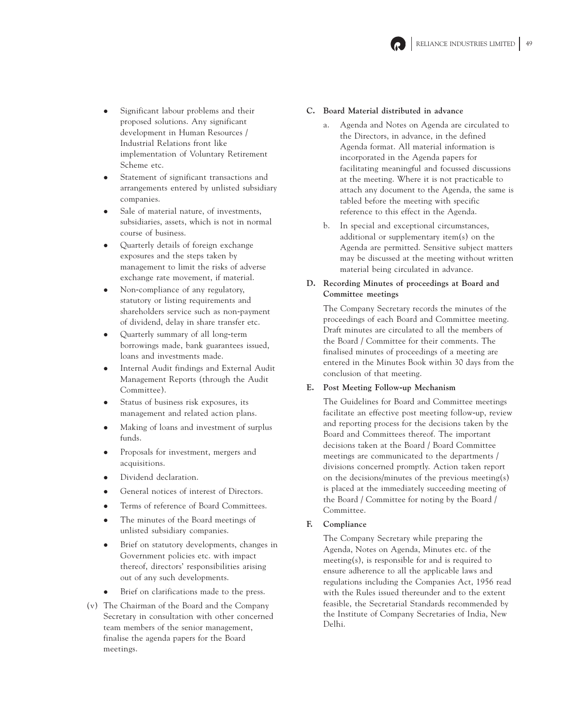

- Significant labour problems and their proposed solutions. Any significant development in Human Resources / Industrial Relations front like implementation of Voluntary Retirement Scheme etc.
- Statement of significant transactions and arrangements entered by unlisted subsidiary companies.
- Sale of material nature, of investments, subsidiaries, assets, which is not in normal course of business.
- Quarterly details of foreign exchange exposures and the steps taken by management to limit the risks of adverse exchange rate movement, if material.
- Non-compliance of any regulatory, statutory or listing requirements and shareholders service such as non-payment of dividend, delay in share transfer etc.
- Quarterly summary of all long-term borrowings made, bank guarantees issued, loans and investments made.
- Internal Audit findings and External Audit Management Reports (through the Audit Committee).
- Status of business risk exposures, its management and related action plans.
- Making of loans and investment of surplus funds.
- Proposals for investment, mergers and acquisitions.
- Dividend declaration.
- General notices of interest of Directors.
- Terms of reference of Board Committees.
- The minutes of the Board meetings of unlisted subsidiary companies.
- Brief on statutory developments, changes in Government policies etc. with impact thereof, directors' responsibilities arising out of any such developments.
- Brief on clarifications made to the press.
- (v) The Chairman of the Board and the Company Secretary in consultation with other concerned team members of the senior management, finalise the agenda papers for the Board meetings.

## **C. Board Material distributed in advance**

- a. Agenda and Notes on Agenda are circulated to the Directors, in advance, in the defined Agenda format. All material information is incorporated in the Agenda papers for facilitating meaningful and focussed discussions at the meeting. Where it is not practicable to attach any document to the Agenda, the same is tabled before the meeting with specific reference to this effect in the Agenda.
- b. In special and exceptional circumstances, additional or supplementary item(s) on the Agenda are permitted. Sensitive subject matters may be discussed at the meeting without written material being circulated in advance.

## **D. Recording Minutes of proceedings at Board and Committee meetings**

The Company Secretary records the minutes of the proceedings of each Board and Committee meeting. Draft minutes are circulated to all the members of the Board / Committee for their comments. The finalised minutes of proceedings of a meeting are entered in the Minutes Book within 30 days from the conclusion of that meeting.

## **E. Post Meeting Follow-up Mechanism**

The Guidelines for Board and Committee meetings facilitate an effective post meeting follow-up, review and reporting process for the decisions taken by the Board and Committees thereof. The important decisions taken at the Board / Board Committee meetings are communicated to the departments / divisions concerned promptly. Action taken report on the decisions/minutes of the previous meeting(s) is placed at the immediately succeeding meeting of the Board / Committee for noting by the Board / Committee.

## **F. Compliance**

The Company Secretary while preparing the Agenda, Notes on Agenda, Minutes etc. of the meeting(s), is responsible for and is required to ensure adherence to all the applicable laws and regulations including the Companies Act, 1956 read with the Rules issued thereunder and to the extent feasible, the Secretarial Standards recommended by the Institute of Company Secretaries of India, New Delhi.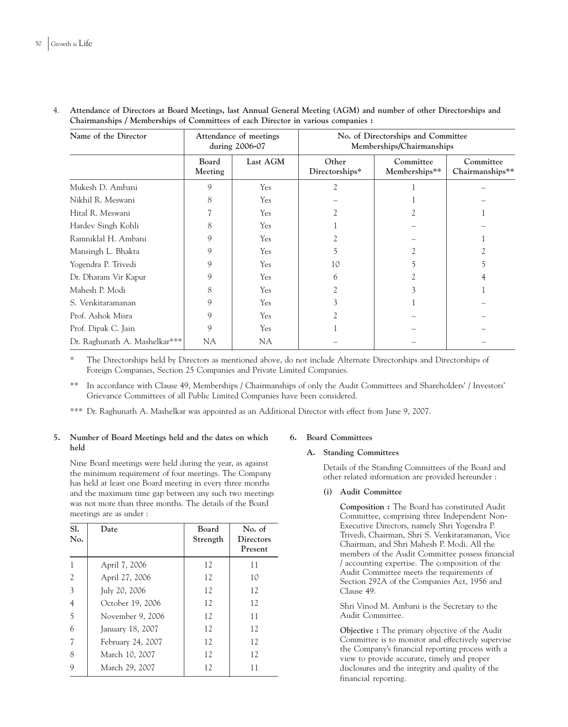| Name of the Director          | Attendance of meetings<br>during 2006-07 |           | No. of Directorships and Committee<br>Memberships/Chairmanships |                            |                              |  |
|-------------------------------|------------------------------------------|-----------|-----------------------------------------------------------------|----------------------------|------------------------------|--|
|                               | Board<br>Meeting                         | Last AGM  | Other<br>Directorships*                                         | Committee<br>Memberships** | Committee<br>Chairmanships** |  |
| Mukesh D. Ambani              | 9                                        | Yes       | 2                                                               |                            |                              |  |
| Nikhil R. Meswani             | 8                                        | Yes       |                                                                 |                            |                              |  |
| Hital R. Meswani              |                                          | Yes       |                                                                 |                            |                              |  |
| Hardev Singh Kohli            | 8                                        | Yes       |                                                                 |                            |                              |  |
| Ramniklal H. Ambani           | 9                                        | Yes       |                                                                 |                            |                              |  |
| Mansingh L. Bhakta            | 9                                        | Yes       | ר                                                               |                            |                              |  |
| Yogendra P. Trivedi           | 9                                        | Yes       | 10                                                              |                            | 5                            |  |
| Dr. Dharam Vir Kapur          | 9                                        | Yes       | 6                                                               |                            |                              |  |
| Mahesh P. Modi                | 8                                        | Yes       |                                                                 |                            |                              |  |
| S. Venkitaramanan             | 9                                        | Yes       |                                                                 |                            |                              |  |
| Prof. Ashok Misra             | 9                                        | Yes       |                                                                 |                            |                              |  |
| Prof. Dipak C. Jain           | 9                                        | Yes       |                                                                 |                            |                              |  |
| Dr. Raghunath A. Mashelkar*** | <b>NA</b>                                | <b>NA</b> |                                                                 |                            |                              |  |

4. **Attendance of Directors at Board Meetings, last Annual General Meeting (AGM) and number of other Directorships and Chairmanships / Memberships of Committees of each Director in various companies :**

\* The Directorships held by Directors as mentioned above, do not include Alternate Directorships and Directorships of Foreign Companies, Section 25 Companies and Private Limited Companies.

\*\* In accordance with Clause 49, Memberships / Chairmanships of only the Audit Committees and Shareholders' / Investors' Grievance Committees of all Public Limited Companies have been considered.

\*\*\* Dr. Raghunath A. Mashelkar was appointed as an Additional Director with effect from June 9, 2007.

## **5. Number of Board Meetings held and the dates on which held**

Nine Board meetings were held during the year, as against the minimum requirement of four meetings. The Company has held at least one Board meeting in every three months and the maximum time gap between any such two meetings was not more than three months. The details of the Board meetings are as under :

| SI.<br>No.     | Date              | Board<br>Strength | No. of<br><b>Directors</b><br>Present |
|----------------|-------------------|-------------------|---------------------------------------|
|                | April 7, 2006     | 12                | 11                                    |
| $\overline{2}$ | April 27, 2006    | 12                | 10                                    |
| 3              | July 20, 2006     | 12                | 12                                    |
| $\overline{4}$ | October 19, 2006  | 12                | 12                                    |
| 5              | November 9, 2006  | 12                | 11                                    |
| 6              | January 18, 2007  | 12                | 12                                    |
|                | February 24, 2007 | 12                | 12                                    |
| 8              | March 10, 2007    | 12                | 12                                    |
| 9              | March 29, 2007    | 12                | 11                                    |

## **6. Board Committees**

## **A. Standing Committees**

Details of the Standing Committees of the Board and other related information are provided hereunder :

## **(i) Audit Committee**

**Composition :** The Board has constituted Audit Committee, comprising three Independent Non-Executive Directors, namely Shri Yogendra P. Trivedi, Chairman, Shri S. Venkitaramanan, Vice Chairman, and Shri Mahesh P. Modi. All the members of the Audit Committee possess financial / accounting expertise. The composition of the Audit Committee meets the requirements of Section 292A of the Companies Act, 1956 and Clause 49.

Shri Vinod M. Ambani is the Secretary to the Audit Committee.

**Objective :** The primary objective of the Audit Committee is to monitor and effectively supervise the Company's financial reporting process with a view to provide accurate, timely and proper disclosures and the integrity and quality of the financial reporting.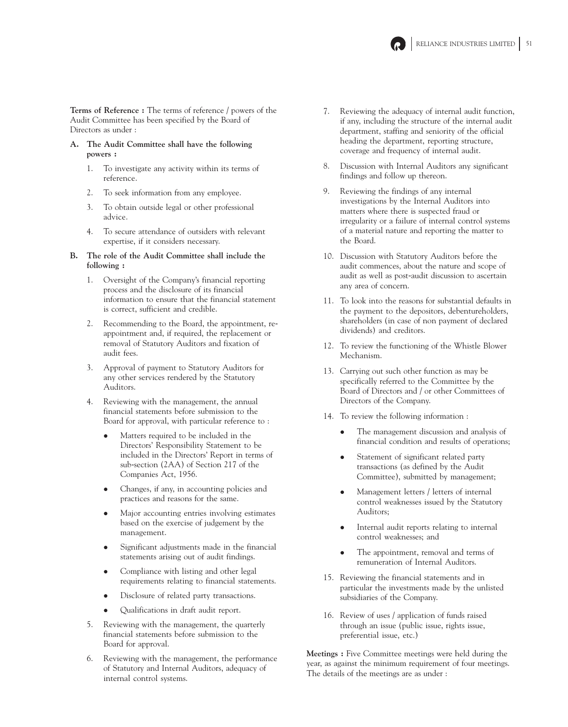

**Terms of Reference :** The terms of reference / powers of the Audit Committee has been specified by the Board of Directors as under :

- **A. The Audit Committee shall have the following powers :**
	- 1. To investigate any activity within its terms of reference.
	- 2. To seek information from any employee.
	- 3. To obtain outside legal or other professional advice.
	- 4. To secure attendance of outsiders with relevant expertise, if it considers necessary.
- **B. The role of the Audit Committee shall include the following :**
	- 1. Oversight of the Company's financial reporting process and the disclosure of its financial information to ensure that the financial statement is correct, sufficient and credible.
	- 2. Recommending to the Board, the appointment, reappointment and, if required, the replacement or removal of Statutory Auditors and fixation of audit fees.
	- 3. Approval of payment to Statutory Auditors for any other services rendered by the Statutory Auditors.
	- 4. Reviewing with the management, the annual financial statements before submission to the Board for approval, with particular reference to :
		- Matters required to be included in the Directors' Responsibility Statement to be included in the Directors' Report in terms of sub-section (2AA) of Section 217 of the Companies Act, 1956.
		- Changes, if any, in accounting policies and practices and reasons for the same.
		- Major accounting entries involving estimates based on the exercise of judgement by the management.
		- Significant adjustments made in the financial statements arising out of audit findings.
		- Compliance with listing and other legal requirements relating to financial statements.
		- Disclosure of related party transactions.
		- Qualifications in draft audit report.
	- 5. Reviewing with the management, the quarterly financial statements before submission to the Board for approval.
	- 6. Reviewing with the management, the performance of Statutory and Internal Auditors, adequacy of internal control systems.
- 7. Reviewing the adequacy of internal audit function, if any, including the structure of the internal audit department, staffing and seniority of the official heading the department, reporting structure, coverage and frequency of internal audit.
- 8. Discussion with Internal Auditors any significant findings and follow up thereon.
- 9. Reviewing the findings of any internal investigations by the Internal Auditors into matters where there is suspected fraud or irregularity or a failure of internal control systems of a material nature and reporting the matter to the Board.
- 10. Discussion with Statutory Auditors before the audit commences, about the nature and scope of audit as well as post-audit discussion to ascertain any area of concern.
- 11. To look into the reasons for substantial defaults in the payment to the depositors, debentureholders, shareholders (in case of non payment of declared dividends) and creditors.
- 12. To review the functioning of the Whistle Blower Mechanism.
- 13. Carrying out such other function as may be specifically referred to the Committee by the Board of Directors and / or other Committees of Directors of the Company.
- 14. To review the following information :
	- The management discussion and analysis of financial condition and results of operations;
	- Statement of significant related party transactions (as defined by the Audit Committee), submitted by management;
	- Management letters / letters of internal control weaknesses issued by the Statutory Auditors;
	- Internal audit reports relating to internal control weaknesses; and
	- The appointment, removal and terms of remuneration of Internal Auditors.
- 15. Reviewing the financial statements and in particular the investments made by the unlisted subsidiaries of the Company.
- 16. Review of uses / application of funds raised through an issue (public issue, rights issue, preferential issue, etc.)

**Meetings :** Five Committee meetings were held during the year, as against the minimum requirement of four meetings. The details of the meetings are as under :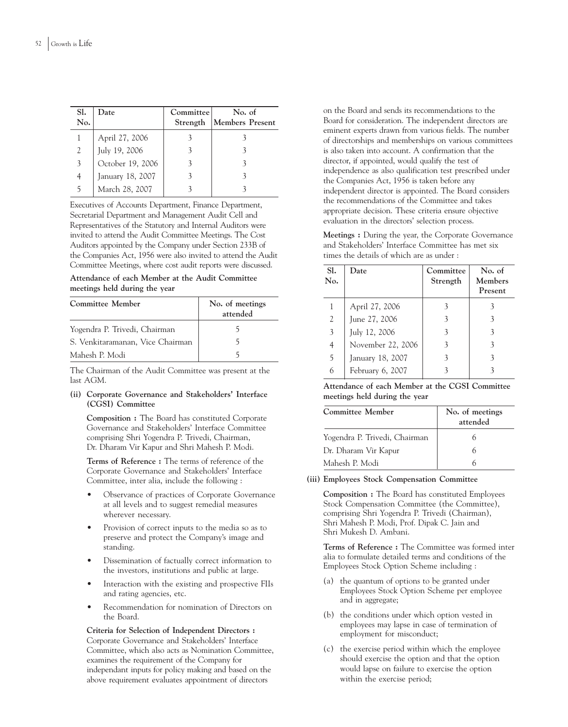| SI.<br>No. | Date             | Committee<br>Strength | No. of<br>Members Present |
|------------|------------------|-----------------------|---------------------------|
|            | April 27, 2006   |                       |                           |
| 2          | July 19, 2006    |                       |                           |
| 3          | October 19, 2006 |                       |                           |
| 4          | January 18, 2007 |                       |                           |
| 5          | March 28, 2007   |                       |                           |

Executives of Accounts Department, Finance Department, Secretarial Department and Management Audit Cell and Representatives of the Statutory and Internal Auditors were invited to attend the Audit Committee Meetings. The Cost Auditors appointed by the Company under Section 233B of the Companies Act, 1956 were also invited to attend the Audit Committee Meetings, where cost audit reports were discussed.

**Attendance of each Member at the Audit Committee meetings held during the year**

| Committee Member                 | No. of meetings<br>attended |
|----------------------------------|-----------------------------|
| Yogendra P. Trivedi, Chairman    |                             |
| S. Venkitaramanan, Vice Chairman |                             |
| Mahesh P. Modi                   |                             |

The Chairman of the Audit Committee was present at the last AGM.

### **(ii) Corporate Governance and Stakeholders' Interface (CGSI) Committee**

**Composition :** The Board has constituted Corporate Governance and Stakeholders' Interface Committee comprising Shri Yogendra P. Trivedi, Chairman, Dr. Dharam Vir Kapur and Shri Mahesh P. Modi.

**Terms of Reference :** The terms of reference of the Corporate Governance and Stakeholders' Interface Committee, inter alia, include the following :

- Observance of practices of Corporate Governance at all levels and to suggest remedial measures wherever necessary.
- Provision of correct inputs to the media so as to preserve and protect the Company's image and standing.
- Dissemination of factually correct information to the investors, institutions and public at large.
- Interaction with the existing and prospective FIIs and rating agencies, etc.
- Recommendation for nomination of Directors on the Board.

**Criteria for Selection of Independent Directors :** Corporate Governance and Stakeholders' Interface Committee, which also acts as Nomination Committee, examines the requirement of the Company for independant inputs for policy making and based on the above requirement evaluates appointment of directors

on the Board and sends its recommendations to the Board for consideration. The independent directors are eminent experts drawn from various fields. The number of directorships and memberships on various committees is also taken into account. A confirmation that the director, if appointed, would qualify the test of independence as also qualification test prescribed under the Companies Act, 1956 is taken before any independent director is appointed. The Board considers the recommendations of the Committee and takes appropriate decision. These criteria ensure objective evaluation in the directors' selection process.

**Meetings :** During the year, the Corporate Governance and Stakeholders' Interface Committee has met six times the details of which are as under :

| SI.<br>No. | Date              | Committee<br>Strength | No. of<br>Members<br>Present |
|------------|-------------------|-----------------------|------------------------------|
|            | April 27, 2006    |                       |                              |
| 2          | June 27, 2006     | 3                     | 3                            |
| 3          | July 12, 2006     |                       |                              |
| 4          | November 22, 2006 | 3                     | $\mathcal{E}$                |
| 5          | January 18, 2007  | 3                     |                              |
| 6          | February 6, 2007  |                       |                              |

**Attendance of each Member at the CGSI Committee meetings held during the year**

| Committee Member              | No. of meetings<br>attended |
|-------------------------------|-----------------------------|
| Yogendra P. Trivedi, Chairman |                             |
| Dr. Dharam Vir Kapur          |                             |
| Mahesh P. Modi                |                             |

## **(iii) Employees Stock Compensation Committee**

**Composition :** The Board has constituted Employees Stock Compensation Committee (the Committee), comprising Shri Yogendra P. Trivedi (Chairman), Shri Mahesh P. Modi, Prof. Dipak C. Jain and Shri Mukesh D. Ambani.

**Terms of Reference :** The Committee was formed inter alia to formulate detailed terms and conditions of the Employees Stock Option Scheme including :

- (a) the quantum of options to be granted under Employees Stock Option Scheme per employee and in aggregate;
- (b) the conditions under which option vested in employees may lapse in case of termination of employment for misconduct;
- (c) the exercise period within which the employee should exercise the option and that the option would lapse on failure to exercise the option within the exercise period;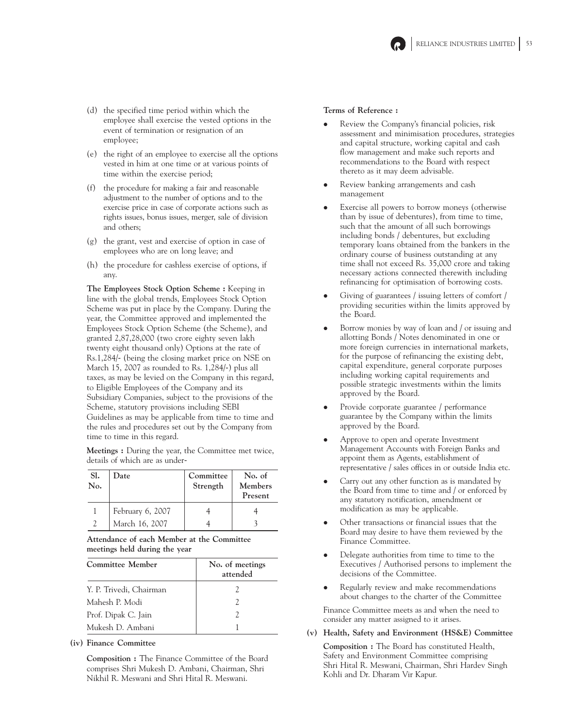

- (d) the specified time period within which the employee shall exercise the vested options in the event of termination or resignation of an employee;
- (e) the right of an employee to exercise all the options vested in him at one time or at various points of time within the exercise period;
- (f) the procedure for making a fair and reasonable adjustment to the number of options and to the exercise price in case of corporate actions such as rights issues, bonus issues, merger, sale of division and others;
- (g) the grant, vest and exercise of option in case of employees who are on long leave; and
- (h) the procedure for cashless exercise of options, if any.

**The Employees Stock Option Scheme :** Keeping in line with the global trends, Employees Stock Option Scheme was put in place by the Company. During the year, the Committee approved and implemented the Employees Stock Option Scheme (the Scheme), and granted 2,87,28,000 (two crore eighty seven lakh twenty eight thousand only) Options at the rate of Rs.1,284/- (being the closing market price on NSE on March 15, 2007 as rounded to Rs. 1,284/-) plus all taxes, as may be levied on the Company in this regard, to Eligible Employees of the Company and its Subsidiary Companies, subject to the provisions of the Scheme, statutory provisions including SEBI Guidelines as may be applicable from time to time and the rules and procedures set out by the Company from time to time in this regard.

**Meetings :** During the year, the Committee met twice, details of which are as under-

| Sl.<br>No. | Date             | Committee<br>Strength | No. of<br>Members<br>Present |
|------------|------------------|-----------------------|------------------------------|
|            | February 6, 2007 |                       |                              |
|            | March 16, 2007   |                       |                              |

**Attendance of each Member at the Committee meetings held during the year**

| Committee Member        | No. of meetings<br>attended |
|-------------------------|-----------------------------|
| Y. P. Trivedi, Chairman | $\mathcal{L}$               |
| Mahesh P. Modi          | 2                           |
| Prof. Dipak C. Jain     | $\mathcal{I}$               |
| Mukesh D. Ambani        |                             |

### **(iv) Finance Committee**

**Composition :** The Finance Committee of the Board comprises Shri Mukesh D. Ambani, Chairman, Shri Nikhil R. Meswani and Shri Hital R. Meswani.

### **Terms of Reference :**

- Review the Company's financial policies, risk assessment and minimisation procedures, strategies and capital structure, working capital and cash flow management and make such reports and recommendations to the Board with respect thereto as it may deem advisable.
- Review banking arrangements and cash management
- Exercise all powers to borrow moneys (otherwise than by issue of debentures), from time to time, such that the amount of all such borrowings including bonds / debentures, but excluding temporary loans obtained from the bankers in the ordinary course of business outstanding at any time shall not exceed Rs. 35,000 crore and taking necessary actions connected therewith including refinancing for optimisation of borrowing costs.
- Giving of guarantees / issuing letters of comfort / providing securities within the limits approved by the Board.
- Borrow monies by way of loan and / or issuing and allotting Bonds / Notes denominated in one or more foreign currencies in international markets, for the purpose of refinancing the existing debt, capital expenditure, general corporate purposes including working capital requirements and possible strategic investments within the limits approved by the Board.
- Provide corporate guarantee / performance guarantee by the Company within the limits approved by the Board.
- Approve to open and operate Investment Management Accounts with Foreign Banks and appoint them as Agents, establishment of representative / sales offices in or outside India etc.
- Carry out any other function as is mandated by the Board from time to time and / or enforced by any statutory notification, amendment or modification as may be applicable.
- Other transactions or financial issues that the Board may desire to have them reviewed by the Finance Committee.
- Delegate authorities from time to time to the Executives / Authorised persons to implement the decisions of the Committee.
- Regularly review and make recommendations about changes to the charter of the Committee

Finance Committee meets as and when the need to consider any matter assigned to it arises.

**(v) Health, Safety and Environment (HS&E) Committee**

**Composition :** The Board has constituted Health, Safety and Environment Committee comprising Shri Hital R. Meswani, Chairman, Shri Hardev Singh Kohli and Dr. Dharam Vir Kapur.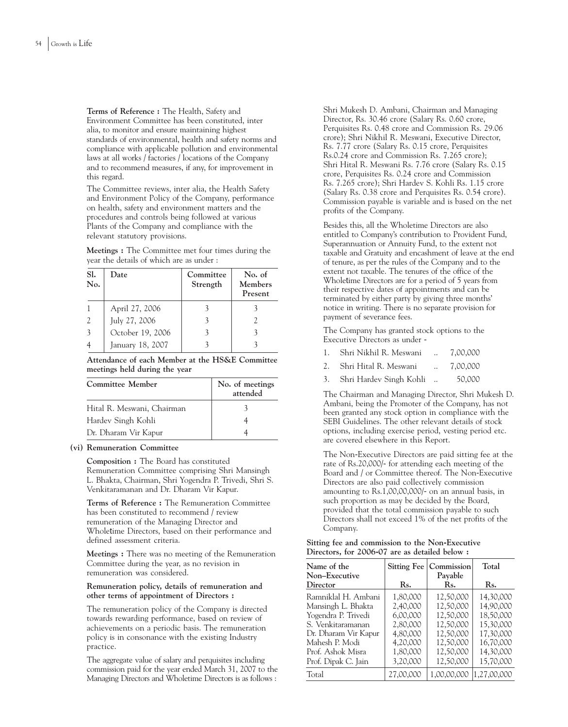**Terms of Reference :** The Health, Safety and Environment Committee has been constituted, inter alia, to monitor and ensure maintaining highest standards of environmental, health and safety norms and compliance with applicable pollution and environmental laws at all works / factories / locations of the Company and to recommend measures, if any, for improvement in this regard.

The Committee reviews, inter alia, the Health Safety and Environment Policy of the Company, performance on health, safety and environment matters and the procedures and controls being followed at various Plants of the Company and compliance with the relevant statutory provisions.

**Meetings :** The Committee met four times during the year the details of which are as under :

| SI.<br>No. | Date             | Committee<br>Strength | No. of<br>Members<br>Present |
|------------|------------------|-----------------------|------------------------------|
|            | April 27, 2006   |                       |                              |
| 2          | July 27, 2006    |                       |                              |
| 3          | October 19, 2006 |                       |                              |
|            | January 18, 2007 |                       |                              |

**Attendance of each Member at the HS&E Committee meetings held during the year**

| Committee Member           | No. of meetings<br>attended |
|----------------------------|-----------------------------|
| Hital R. Meswani, Chairman |                             |
| Hardev Singh Kohli         |                             |
| Dr. Dharam Vir Kapur       |                             |

### **(vi) Remuneration Committee**

**Composition :** The Board has constituted Remuneration Committee comprising Shri Mansingh L. Bhakta, Chairman, Shri Yogendra P. Trivedi, Shri S. Venkitaramanan and Dr. Dharam Vir Kapur.

**Terms of Reference :** The Remuneration Committee has been constituted to recommend / review remuneration of the Managing Director and Wholetime Directors, based on their performance and defined assessment criteria.

**Meetings :** There was no meeting of the Remuneration Committee during the year, as no revision in remuneration was considered.

### **Remuneration policy, details of remuneration and other terms of appointment of Directors :**

The remuneration policy of the Company is directed towards rewarding performance, based on review of achievements on a periodic basis. The remuneration policy is in consonance with the existing Industry practice.

The aggregate value of salary and perquisites including commission paid for the year ended March 31, 2007 to the Managing Directors and Wholetime Directors is as follows :

Shri Mukesh D. Ambani, Chairman and Managing Director, Rs. 30.46 crore (Salary Rs. 0.60 crore, Perquisites Rs. 0.48 crore and Commission Rs. 29.06 crore); Shri Nikhil R. Meswani, Executive Director, Rs. 7.77 crore (Salary Rs. 0.15 crore, Perquisites Rs.0.24 crore and Commission Rs. 7.265 crore); Shri Hital R. Meswani Rs. 7.76 crore (Salary Rs. 0.15 crore, Perquisites Rs. 0.24 crore and Commission Rs. 7.265 crore); Shri Hardev S. Kohli Rs. 1.15 crore (Salary Rs. 0.38 crore and Perquisites Rs. 0.54 crore). Commission payable is variable and is based on the net profits of the Company.

Besides this, all the Wholetime Directors are also entitled to Company's contribution to Provident Fund, Superannuation or Annuity Fund, to the extent not taxable and Gratuity and encashment of leave at the end of tenure, as per the rules of the Company and to the extent not taxable. The tenures of the office of the Wholetime Directors are for a period of 5 years from their respective dates of appointments and can be terminated by either party by giving three months' notice in writing. There is no separate provision for payment of severance fees.

The Company has granted stock options to the Executive Directors as under -

|  |  | Shri Nikhil R. Meswani |  | 7,00,000 |
|--|--|------------------------|--|----------|
|--|--|------------------------|--|----------|

- 2. Shri Hital R. Meswani ... 7,00,000
- 3. Shri Hardev Singh Kohli .. 50,000

The Chairman and Managing Director, Shri Mukesh D. Ambani, being the Promoter of the Company, has not been granted any stock option in compliance with the SEBI Guidelines. The other relevant details of stock options, including exercise period, vesting period etc. are covered elsewhere in this Report.

The Non-Executive Directors are paid sitting fee at the rate of Rs.20,000/- for attending each meeting of the Board and / or Committee thereof. The Non-Executive Directors are also paid collectively commission amounting to Rs.1,00,00,000/- on an annual basis, in such proportion as may be decided by the Board, provided that the total commission payable to such Directors shall not exceed 1% of the net profits of the Company.

| Sitting fee and commission to the Non-Executive |  |  |  |  |
|-------------------------------------------------|--|--|--|--|
| Directors, for 2006-07 are as detailed below:   |  |  |  |  |

| Name of the          | <b>Sitting Fee</b> | Commission  | Total       |
|----------------------|--------------------|-------------|-------------|
| Non-Executive        |                    | Payable     |             |
| Director             | Rs.                | Rs.         | Rs.         |
| Ramniklal H. Ambani  | 1,80,000           | 12,50,000   | 14,30,000   |
| Mansingh L. Bhakta   | 2,40,000           | 12,50,000   | 14,90,000   |
| Yogendra P. Trivedi  | 6,00,000           | 12,50,000   | 18,50,000   |
| S. Venkitaramanan    | 2,80,000           | 12,50,000   | 15,30,000   |
| Dr. Dharam Vir Kapur | 4,80,000           | 12,50,000   | 17,30,000   |
| Mahesh P. Modi       | 4,20,000           | 12,50,000   | 16,70,000   |
| Prof. Ashok Misra    | 1,80,000           | 12,50,000   | 14,30,000   |
| Prof. Dipak C. Jain  | 3,20,000           | 12,50,000   | 15,70,000   |
| Total                | 27,00,000          | 1,00,00,000 | 1,27,00,000 |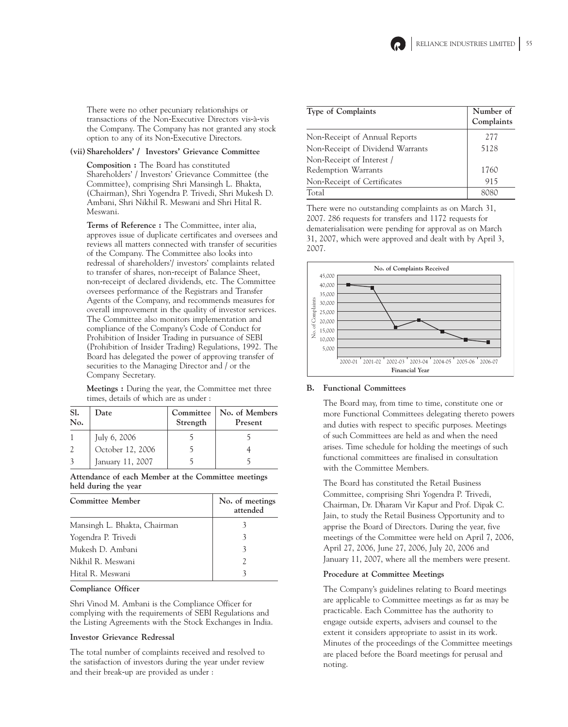

There were no other pecuniary relationships or transactions of the Non-Executive Directors vis-à-vis the Company. The Company has not granted any stock option to any of its Non-Executive Directors.

### **(vii) Shareholders' / Investors' Grievance Committee**

**Composition :** The Board has constituted Shareholders' / Investors' Grievance Committee (the Committee), comprising Shri Mansingh L. Bhakta, (Chairman), Shri Yogendra P. Trivedi, Shri Mukesh D. Ambani, Shri Nikhil R. Meswani and Shri Hital R. Meswani.

**Terms of Reference :** The Committee, inter alia, approves issue of duplicate certificates and oversees and reviews all matters connected with transfer of securities of the Company. The Committee also looks into redressal of shareholders'/ investors' complaints related to transfer of shares, non-receipt of Balance Sheet, non-receipt of declared dividends, etc. The Committee oversees performance of the Registrars and Transfer Agents of the Company, and recommends measures for overall improvement in the quality of investor services. The Committee also monitors implementation and compliance of the Company's Code of Conduct for Prohibition of Insider Trading in pursuance of SEBI (Prohibition of Insider Trading) Regulations, 1992. The Board has delegated the power of approving transfer of securities to the Managing Director and / or the Company Secretary.

**Meetings :** During the year, the Committee met three times, details of which are as under :

| Sl.<br>No. | Date             | Committee<br>Strength | No. of Members<br>Present |
|------------|------------------|-----------------------|---------------------------|
|            | July 6, 2006     |                       |                           |
|            | October 12, 2006 |                       |                           |
|            | January 11, 2007 |                       |                           |

**Attendance of each Member at the Committee meetings held during the year**

| <b>Committee Member</b>      | No. of meetings<br>attended |
|------------------------------|-----------------------------|
| Mansingh L. Bhakta, Chairman |                             |
| Yogendra P. Trivedi          |                             |
| Mukesh D. Ambani             |                             |
| Nikhil R. Meswani            |                             |
| Hital R. Meswani             |                             |

### **Compliance Officer**

Shri Vinod M. Ambani is the Compliance Officer for complying with the requirements of SEBI Regulations and the Listing Agreements with the Stock Exchanges in India.

#### **Investor Grievance Redressal**

The total number of complaints received and resolved to the satisfaction of investors during the year under review and their break-up are provided as under :

| <b>Type of Complaints</b>        | Number of<br>Complaints |
|----------------------------------|-------------------------|
| Non-Receipt of Annual Reports    | 277                     |
| Non-Receipt of Dividend Warrants | 5128                    |
| Non-Receipt of Interest /        |                         |
| Redemption Warrants              | 1760                    |
| Non-Receipt of Certificates      | 915                     |
| Total                            |                         |

There were no outstanding complaints as on March 31, 2007. 286 requests for transfers and 1172 requests for dematerialisation were pending for approval as on March 31, 2007, which were approved and dealt with by April 3, 2007.



## **B. Functional Committees**

The Board may, from time to time, constitute one or more Functional Committees delegating thereto powers and duties with respect to specific purposes. Meetings of such Committees are held as and when the need arises. Time schedule for holding the meetings of such functional committees are finalised in consultation with the Committee Members.

The Board has constituted the Retail Business Committee, comprising Shri Yogendra P. Trivedi, Chairman, Dr. Dharam Vir Kapur and Prof. Dipak C. Jain, to study the Retail Business Opportunity and to apprise the Board of Directors. During the year, five meetings of the Committee were held on April 7, 2006, April 27, 2006, June 27, 2006, July 20, 2006 and January 11, 2007, where all the members were present.

### **Procedure at Committee Meetings**

The Company's guidelines relating to Board meetings are applicable to Committee meetings as far as may be practicable. Each Committee has the authority to engage outside experts, advisers and counsel to the extent it considers appropriate to assist in its work. Minutes of the proceedings of the Committee meetings are placed before the Board meetings for perusal and noting.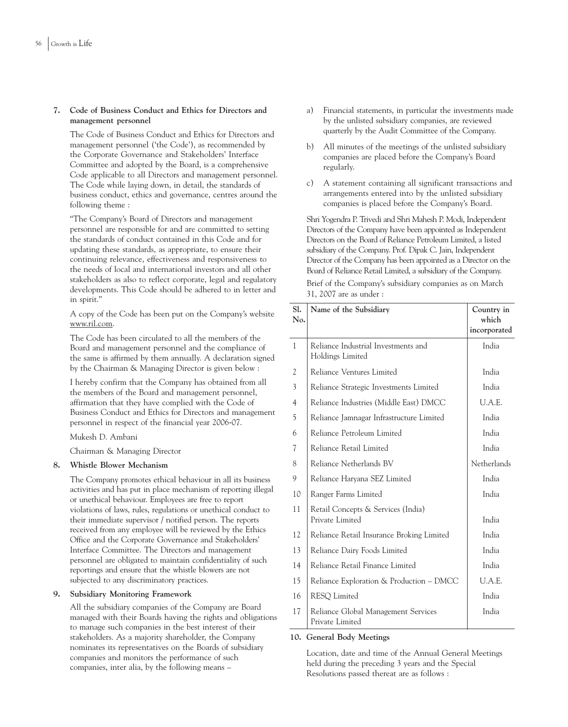## **7. Code of Business Conduct and Ethics for Directors and management personnel**

The Code of Business Conduct and Ethics for Directors and management personnel ('the Code'), as recommended by the Corporate Governance and Stakeholders' Interface Committee and adopted by the Board, is a comprehensive Code applicable to all Directors and management personnel. The Code while laying down, in detail, the standards of business conduct, ethics and governance, centres around the following theme :

"The Company's Board of Directors and management personnel are responsible for and are committed to setting the standards of conduct contained in this Code and for updating these standards, as appropriate, to ensure their continuing relevance, effectiveness and responsiveness to the needs of local and international investors and all other stakeholders as also to reflect corporate, legal and regulatory developments. This Code should be adhered to in letter and in spirit."

A copy of the Code has been put on the Company's website www.ril.com.

The Code has been circulated to all the members of the Board and management personnel and the compliance of the same is affirmed by them annually. A declaration signed by the Chairman & Managing Director is given below :

I hereby confirm that the Company has obtained from all the members of the Board and management personnel, affirmation that they have complied with the Code of Business Conduct and Ethics for Directors and management personnel in respect of the financial year 2006-07.

Mukesh D. Ambani

Chairman & Managing Director

## **8. Whistle Blower Mechanism**

The Company promotes ethical behaviour in all its business activities and has put in place mechanism of reporting illegal or unethical behaviour. Employees are free to report violations of laws, rules, regulations or unethical conduct to their immediate supervisor / notified person. The reports received from any employee will be reviewed by the Ethics Office and the Corporate Governance and Stakeholders' Interface Committee. The Directors and management personnel are obligated to maintain confidentiality of such reportings and ensure that the whistle blowers are not subjected to any discriminatory practices.

### **9. Subsidiary Monitoring Framework**

All the subsidiary companies of the Company are Board managed with their Boards having the rights and obligations to manage such companies in the best interest of their stakeholders. As a majority shareholder, the Company nominates its representatives on the Boards of subsidiary companies and monitors the performance of such companies, inter alia, by the following means –

- a) Financial statements, in particular the investments made by the unlisted subsidiary companies, are reviewed quarterly by the Audit Committee of the Company.
- b) All minutes of the meetings of the unlisted subsidiary companies are placed before the Company's Board regularly.
- c) A statement containing all significant transactions and arrangements entered into by the unlisted subsidiary companies is placed before the Company's Board.

Shri Yogendra P. Trivedi and Shri Mahesh P. Modi, Independent Directors of the Company have been appointed as Independent Directors on the Board of Reliance Petroleum Limited, a listed subsidiary of the Company. Prof. Dipak C. Jain, Independent Director of the Company has been appointed as a Director on the Board of Reliance Retail Limited, a subsidiary of the Company.

Brief of the Company's subsidiary companies as on March 31, 2007 are as under :

| Sl.<br>No.     | Name of the Subsidiary                                  | Country in<br>which<br>incorporated |
|----------------|---------------------------------------------------------|-------------------------------------|
| $\mathbf{1}$   | Reliance Industrial Investments and<br>Holdings Limited | India                               |
| 2              | Reliance Ventures Limited                               | India                               |
| 3              | Reliance Strategic Investments Limited                  | India                               |
| $\overline{4}$ | Reliance Industries (Middle East) DMCC                  | U.A.E.                              |
| 5              | Reliance Jamnagar Infrastructure Limited                | India                               |
| 6              | Reliance Petroleum Limited                              | India                               |
| 7              | Reliance Retail Limited                                 | India                               |
| 8              | Reliance Netherlands BV                                 | Netherlands                         |
| 9              | Reliance Haryana SEZ Limited                            | India                               |
| 10             | Ranger Farms Limited                                    | India                               |
| 11             | Retail Concepts & Services (India)<br>Private Limited   | India                               |
| 12             | Reliance Retail Insurance Broking Limited               | India                               |
| 13             | Reliance Dairy Foods Limited                            | India                               |
| 14             | Reliance Retail Finance Limited                         | India                               |
| 15             | Reliance Exploration & Production - DMCC                | U.A.E.                              |
| 16             | <b>RESO</b> Limited                                     | India                               |
| 17             | Reliance Global Management Services<br>Private Limited  | India                               |

### **10. General Body Meetings**

Location, date and time of the Annual General Meetings held during the preceding 3 years and the Special Resolutions passed thereat are as follows :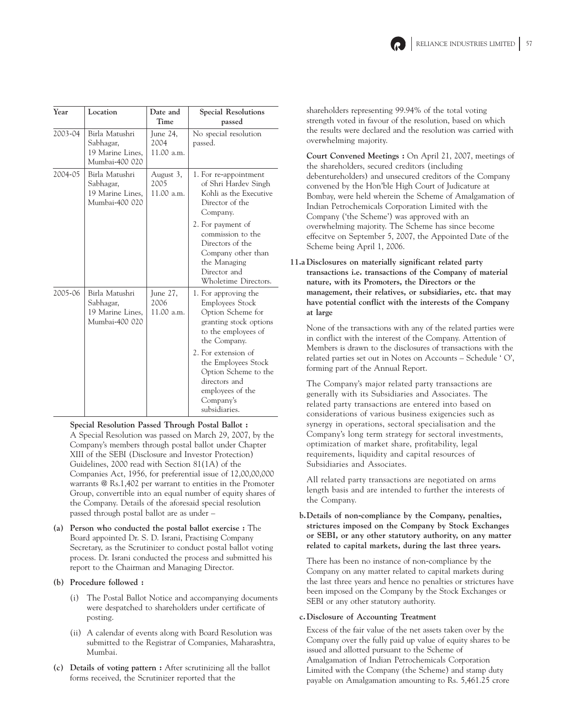

| Year    | Location                                                          | Date and<br>Time                | <b>Special Resolutions</b><br>passed                                                                                                                                                                                                                                   |
|---------|-------------------------------------------------------------------|---------------------------------|------------------------------------------------------------------------------------------------------------------------------------------------------------------------------------------------------------------------------------------------------------------------|
| 2003-04 | Birla Matushri<br>Sabhagar,<br>19 Marine Lines,<br>Mumbai-400 020 | June 24,<br>2004<br>11.00 a.m.  | No special resolution<br>passed.                                                                                                                                                                                                                                       |
| 2004-05 | Birla Matushri<br>Sabhagar,<br>19 Marine Lines,<br>Mumbai-400 020 | August 3,<br>2005<br>11.00 a.m. | 1. For re-appointment<br>of Shri Hardev Singh<br>Kohli as the Executive<br>Director of the<br>Company.<br>2. For payment of<br>commission to the<br>Directors of the<br>Company other than<br>the Managing<br>Director and<br>Wholetime Directors.                     |
| 2005-06 | Birla Matushri<br>Sabhagar,<br>19 Marine Lines,<br>Mumbai-400 020 | June 27,<br>2006<br>11.00 a.m.  | 1. For approving the<br>Employees Stock<br>Option Scheme for<br>granting stock options<br>to the employees of<br>the Company.<br>2. For extension of<br>the Employees Stock<br>Option Scheme to the<br>directors and<br>employees of the<br>Company's<br>subsidiaries. |

**Special Resolution Passed Through Postal Ballot :** A Special Resolution was passed on March 29, 2007, by the Company's members through postal ballot under Chapter XIII of the SEBI (Disclosure and Investor Protection) Guidelines, 2000 read with Section 81(1A) of the Companies Act, 1956, for preferential issue of 12,00,00,000 warrants @ Rs.1,402 per warrant to entities in the Promoter Group, convertible into an equal number of equity shares of the Company. Details of the aforesaid special resolution passed through postal ballot are as under –

**(a) Person who conducted the postal ballot exercise :** The Board appointed Dr. S. D. Israni, Practising Company Secretary, as the Scrutinizer to conduct postal ballot voting process. Dr. Israni conducted the process and submitted his report to the Chairman and Managing Director.

## **(b) Procedure followed :**

- (i) The Postal Ballot Notice and accompanying documents were despatched to shareholders under certificate of posting.
- (ii) A calendar of events along with Board Resolution was submitted to the Registrar of Companies, Maharashtra, Mumbai.
- **(c) Details of voting pattern :** After scrutinizing all the ballot forms received, the Scrutinizer reported that the

shareholders representing 99.94% of the total voting strength voted in favour of the resolution, based on which the results were declared and the resolution was carried with overwhelming majority.

**Court Convened Meetings :** On April 21, 2007, meetings of the shareholders, secured creditors (including debentureholders) and unsecured creditors of the Company convened by the Hon'ble High Court of Judicature at Bombay, were held wherein the Scheme of Amalgamation of Indian Petrochemicals Corporation Limited with the Company ('the Scheme') was approved with an overwhelming majority. The Scheme has since become effecitve on September 5, 2007, the Appointed Date of the Scheme being April 1, 2006.

**11.a Disclosures on materially significant related party transactions i.e. transactions of the Company of material nature, with its Promoters, the Directors or the management, their relatives, or subsidiaries, etc. that may have potential conflict with the interests of the Company at large**

None of the transactions with any of the related parties were in conflict with the interest of the Company. Attention of Members is drawn to the disclosures of transactions with the related parties set out in Notes on Accounts – Schedule ' O', forming part of the Annual Report.

The Company's major related party transactions are generally with its Subsidiaries and Associates. The related party transactions are entered into based on considerations of various business exigencies such as synergy in operations, sectoral specialisation and the Company's long term strategy for sectoral investments, optimization of market share, profitability, legal requirements, liquidity and capital resources of Subsidiaries and Associates.

All related party transactions are negotiated on arms length basis and are intended to further the interests of the Company.

## **b.Details of non-compliance by the Company, penalties, strictures imposed on the Company by Stock Exchanges or SEBI, or any other statutory authority, on any matter related to capital markets, during the last three years.**

There has been no instance of non-compliance by the Company on any matter related to capital markets during the last three years and hence no penalties or strictures have been imposed on the Company by the Stock Exchanges or SEBI or any other statutory authority.

## **c.Disclosure of Accounting Treatment**

Excess of the fair value of the net assets taken over by the Company over the fully paid up value of equity shares to be issued and allotted pursuant to the Scheme of Amalgamation of Indian Petrochemicals Corporation Limited with the Company (the Scheme) and stamp duty payable on Amalgamation amounting to Rs. 5,461.25 crore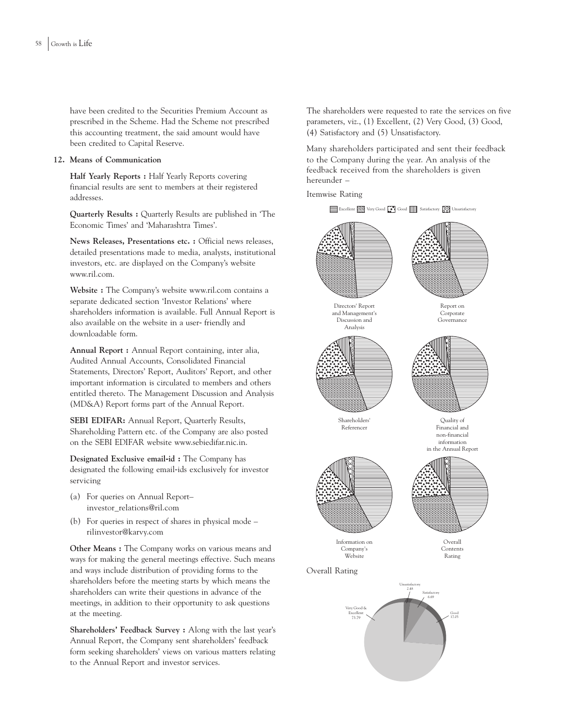have been credited to the Securities Premium Account as prescribed in the Scheme. Had the Scheme not prescribed this accounting treatment, the said amount would have been credited to Capital Reserve.

### **12. Means of Communication**

**Half Yearly Reports :** Half Yearly Reports covering financial results are sent to members at their registered addresses.

**Quarterly Results :** Quarterly Results are published in 'The Economic Times' and 'Maharashtra Times'.

**News Releases, Presentations etc. :** Official news releases, detailed presentations made to media, analysts, institutional investors, etc. are displayed on the Company's website www.ril.com.

**Website :** The Company's website www.ril.com contains a separate dedicated section 'Investor Relations' where shareholders information is available. Full Annual Report is also available on the website in a user- friendly and downloadable form.

**Annual Report :** Annual Report containing, inter alia, Audited Annual Accounts, Consolidated Financial Statements, Directors' Report, Auditors' Report, and other important information is circulated to members and others entitled thereto. The Management Discussion and Analysis (MD&A) Report forms part of the Annual Report.

**SEBI EDIFAR:** Annual Report, Quarterly Results, Shareholding Pattern etc. of the Company are also posted on the SEBI EDIFAR website www.sebiedifar.nic.in.

**Designated Exclusive email-id :** The Company has designated the following email-ids exclusively for investor servicing

- (a) For queries on Annual Report– investor\_relations@ril.com
- (b) For queries in respect of shares in physical mode rilinvestor@karvy.com

**Other Means :** The Company works on various means and ways for making the general meetings effective. Such means and ways include distribution of providing forms to the shareholders before the meeting starts by which means the shareholders can write their questions in advance of the meetings, in addition to their opportunity to ask questions at the meeting.

**Shareholders' Feedback Survey :** Along with the last year's Annual Report, the Company sent shareholders' feedback form seeking shareholders' views on various matters relating to the Annual Report and investor services.

The shareholders were requested to rate the services on five parameters, viz., (1) Excellent, (2) Very Good, (3) Good, (4) Satisfactory and (5) Unsatisfactory.

Many shareholders participated and sent their feedback to the Company during the year. An analysis of the feedback received from the shareholders is given hereunder –

Itemwise Rating

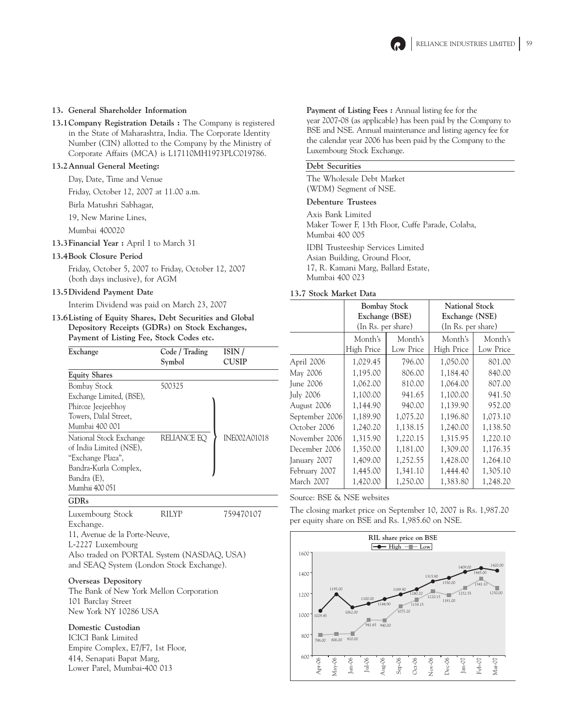

### **13. General Shareholder Information**

**13.1Company Registration Details :** The Company is registered in the State of Maharashtra, India. The Corporate Identity Number (CIN) allotted to the Company by the Ministry of Corporate Affairs (MCA) is L17110MH1973PLC019786.

## **13.2Annual General Meeting:**

Day, Date, Time and Venue

Friday, October 12, 2007 at 11.00 a.m.

Birla Matushri Sabhagar,

19, New Marine Lines,

Mumbai 400020

**13.3Financial Year :** April 1 to March 31

### **13.4Book Closure Period**

Friday, October 5, 2007 to Friday, October 12, 2007 (both days inclusive), for AGM

#### **13.5Dividend Payment Date**

Interim Dividend was paid on March 23, 2007

**13.6Listing of Equity Shares, Debt Securities and Global Depository Receipts (GDRs) on Stock Exchanges, Payment of Listing Fee, Stock Codes etc.**

| Exchange                 | Code / Trading<br>Symbol | ISIN /<br><b>CUSIP</b> |  |  |
|--------------------------|--------------------------|------------------------|--|--|
|                          |                          |                        |  |  |
| <b>Equity Shares</b>     |                          |                        |  |  |
| <b>Bombay Stock</b>      | 500325                   |                        |  |  |
| Exchange Limited, (BSE), |                          |                        |  |  |
| Phiroze Jeejeebhoy       |                          |                        |  |  |
| Towers, Dalal Street,    |                          |                        |  |  |
| Mumbai 400 001           |                          |                        |  |  |
| National Stock Exchange  | RELIANCE EQ              | <b>INF002A01018</b>    |  |  |
| of India Limited (NSE),  |                          |                        |  |  |
| "Exchange Plaza",        |                          |                        |  |  |
| Bandra-Kurla Complex,    |                          |                        |  |  |
| Bandra (E),              |                          |                        |  |  |
| Mumbai 400 051           |                          |                        |  |  |
|                          |                          |                        |  |  |

## **GDRs**

| Luxembourg Stock                           | <b>RILYP</b> | 759470107 |
|--------------------------------------------|--------------|-----------|
| Exchange.                                  |              |           |
| 11, Avenue de la Porte-Neuve,              |              |           |
| L-2227 Luxembourg                          |              |           |
| Also traded on PORTAL System (NASDAQ, USA) |              |           |
| and SEAQ System (London Stock Exchange).   |              |           |

#### **Overseas Depository**

The Bank of New York Mellon Corporation 101 Barclay Street New York NY 10286 USA

## **Domestic Custodian**

ICICI Bank Limited Empire Complex, E7/F7, 1st Floor, 414, Senapati Bapat Marg, Lower Parel, Mumbai-400 013

**Payment of Listing Fees :** Annual listing fee for the year 2007-08 (as applicable) has been paid by the Company to BSE and NSE. Annual maintenance and listing agency fee for the calendar year 2006 has been paid by the Company to the Luxembourg Stock Exchange.

### **Debt Securities**

The Wholesale Debt Market (WDM) Segment of NSE.

### **Debenture Trustees**

Axis Bank Limited Maker Tower F, 13th Floor, Cuffe Parade, Colaba, Mumbai 400 005 IDBI Trusteeship Services Limited Asian Building, Ground Floor, 17, R. Kamani Marg, Ballard Estate, Mumbai 400 023

## **13.7 Stock Market Data**

|                  | <b>Bombay Stock</b> |           | <b>National Stock</b> |           |  |  |
|------------------|---------------------|-----------|-----------------------|-----------|--|--|
|                  | Exchange (BSE)      |           | Exchange (NSE)        |           |  |  |
|                  | (In Rs. per share)  |           | (In Rs. per share)    |           |  |  |
|                  | Month's             | Month's   | Month's               | Month's   |  |  |
|                  | High Price          | Low Price | High Price            | Low Price |  |  |
| April 2006       | 1,029.45            | 796.00    | 1,050.00              | 801.00    |  |  |
| May 2006         | 1,195.00            | 806.00    | 1,184.40              | 840.00    |  |  |
| June 2006        | 1,062.00            | 810.00    | 1,064.00              | 807.00    |  |  |
| <b>July 2006</b> | 1,100.00            | 941.65    | 1,100.00              | 941.50    |  |  |
| August 2006      | 1,144.90            | 940.00    | 1,139.90              | 952.00    |  |  |
| September 2006   | 1,189.90            | 1,075.20  | 1,196.80              | 1,073.10  |  |  |
| October 2006     | 1,240.20            | 1,138.15  | 1,240.00              | 1,138.50  |  |  |
| November 2006    | 1,315.90            | 1,220.15  | 1,315.95              | 1,220.10  |  |  |
| December 2006    | 1,350.00            | 1,181.00  | 1,309.00              | 1,176.35  |  |  |
| January 2007     | 1,409.00            | 1,252.55  | 1,428.00              | 1,264.10  |  |  |
| February 2007    | 1,445.00            | 1,341.10  | 1,444.40              | 1,305.10  |  |  |
| March 2007       | 1,420.00            | 1,250.00  | 1,383.80              | 1,248.20  |  |  |

Source: BSE & NSE websites

The closing market price on September 10, 2007 is Rs. 1,987.20 per equity share on BSE and Rs. 1,985.60 on NSE.

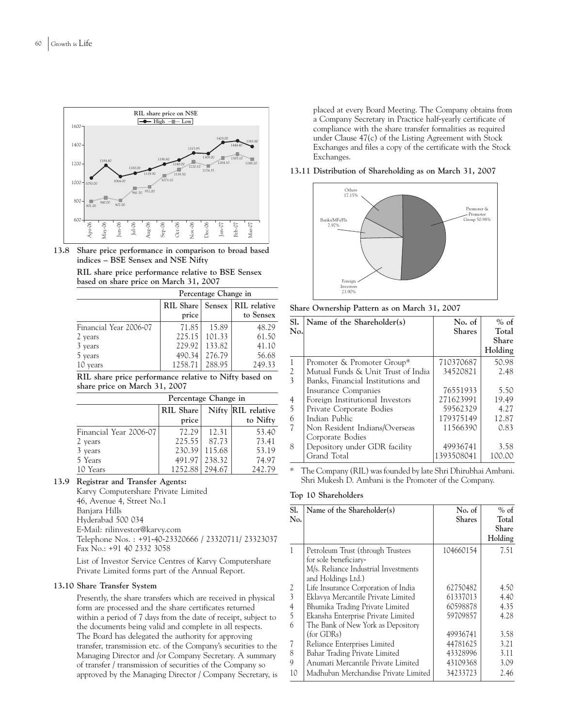

**13.8 Share price performance in comparison to broad based indices – BSE Sensex and NSE Nifty**

|  |                                        |  |  |  | RIL share price performance relative to BSE Sensex |  |
|--|----------------------------------------|--|--|--|----------------------------------------------------|--|
|  | based on share price on March 31, 2007 |  |  |  |                                                    |  |

| Percentage Change in   |                                           |        |           |  |  |  |
|------------------------|-------------------------------------------|--------|-----------|--|--|--|
|                        | <b>RIL Share</b><br>Sensex   RIL relative |        |           |  |  |  |
|                        | price                                     |        | to Sensex |  |  |  |
| Financial Year 2006-07 | 71.85                                     | 15.89  | 48.29     |  |  |  |
| 2 years                | 225.15                                    | 101.33 | 61.50     |  |  |  |
| 3 years                | 229.92                                    | 133.82 | 41.10     |  |  |  |
| 5 years                | 490.34                                    | 276.79 | 56.68     |  |  |  |
| 10 years               | 1258.71                                   | 288.95 | 249.33    |  |  |  |

**RIL share price performance relative to Nifty based on share price on March 31, 2007**

| Percentage Change in   |                           |        |                                |  |  |
|------------------------|---------------------------|--------|--------------------------------|--|--|
|                        | <b>RIL Share</b><br>price |        | Nifty RIL relative<br>to Nifty |  |  |
| Financial Year 2006-07 | 72.29                     | 12.31  | 53.40                          |  |  |
| 2 years                | 225.55                    | 87.73  | 73.41                          |  |  |
| 3 years                | 230.39                    | 115.68 | 53.19                          |  |  |
| 5 Years                | 491.97                    | 238.32 | 74.97                          |  |  |
| 10 Years               | 1252.88                   |        | 242.79                         |  |  |

## **13.9 Registrar and Transfer Agents:**

Karvy Computershare Private Limited 46, Avenue 4, Street No.1 Banjara Hills Hyderabad 500 034 E-Mail: rilinvestor@karvy.com Telephone Nos. : +91-40-23320666 / 23320711/ 23323037 Fax No.: +91 40 2332 3058

List of Investor Service Centres of Karvy Computershare Private Limited forms part of the Annual Report.

## **13.10 Share Transfer System**

Presently, the share transfers which are received in physical form are processed and the share certificates returned within a period of 7 days from the date of receipt, subject to the documents being valid and complete in all respects. The Board has delegated the authority for approving transfer, transmission etc. of the Company's securities to the Managing Director and /or Company Secretary. A summary of transfer / transmission of securities of the Company so approved by the Managing Director / Company Secretary, is placed at every Board Meeting. The Company obtains from a Company Secretary in Practice half-yearly certificate of compliance with the share transfer formalities as required under Clause 47(c) of the Listing Agreement with Stock Exchanges and files a copy of the certificate with the Stock Exchanges.

### **13.11 Distribution of Shareholding as on March 31, 2007**



**Share Ownership Pattern as on March 31, 2007**

| Sl.            | Name of the Shareholder(s)         | No. of        | $%$ of       |
|----------------|------------------------------------|---------------|--------------|
| No.            |                                    | <b>Shares</b> | Total        |
|                |                                    |               | <b>Share</b> |
|                |                                    |               | Holding      |
| $\mathbf{1}$   | Promoter & Promoter Group*         | 710370687     | 50.98        |
| $\overline{2}$ | Mutual Funds & Unit Trust of India | 34520821      | 2.48         |
| 3              | Banks, Financial Institutions and  |               |              |
|                | Insurance Companies                | 76551933      | 5.50         |
| $\frac{4}{5}$  | Foreign Institutional Investors    | 271623991     | 19.49        |
|                | Private Corporate Bodies           | 59562329      | 4.27         |
| 6              | Indian Public                      | 179375149     | 12.87        |
| 7              | Non Resident Indians/Overseas      | 11566390      | 0.83         |
|                | Corporate Bodies                   |               |              |
| 8              | Depository under GDR facility      | 49936741      | 3.58         |
|                | Grand Total                        | 1393508041    | 100.00       |

\* The Company (RIL) was founded by late Shri Dhirubhai Ambani. Shri Mukesh D. Ambani is the Promoter of the Company.

### **Top 10 Shareholders**

| Sl.              | Name of the Shareholder(s)           | No. of        | $%$ of  |
|------------------|--------------------------------------|---------------|---------|
| N <sub>0</sub> . |                                      | <b>Shares</b> | Total   |
|                  |                                      |               | Share   |
|                  |                                      |               | Holding |
| $\mathbf{1}$     | Petroleum Trust (through Trustees    | 104660154     | 7.51    |
|                  | for sole beneficiary-                |               |         |
|                  | M/s. Reliance Industrial Investments |               |         |
|                  | and Holdings Ltd.)                   |               |         |
|                  | Life Insurance Corporation of India  | 62750482      | 4.50    |
| $\frac{2}{3}$    | Eklavya Mercantile Private Limited   | 61337013      | 4.40    |
| $\frac{4}{5}$    | Bhumika Trading Private Limited      | 60598878      | 4.35    |
|                  | Ekansha Enterprise Private Limited   | 59709857      | 4.28    |
| 6                | The Bank of New York as Depository   |               |         |
|                  | $(for$ GDRs $)$                      | 49936741      | 3.58    |
| 7                | Reliance Enterprises Limited         | 44781625      | 3.21    |
| 8                | Bahar Trading Private Limited        | 43328996      | 3.11    |
| 9                | Anumati Mercantile Private Limited   | 43109368      | 3.09    |
| 10               | Madhuban Merchandise Private Limited | 34233723      | 2.46    |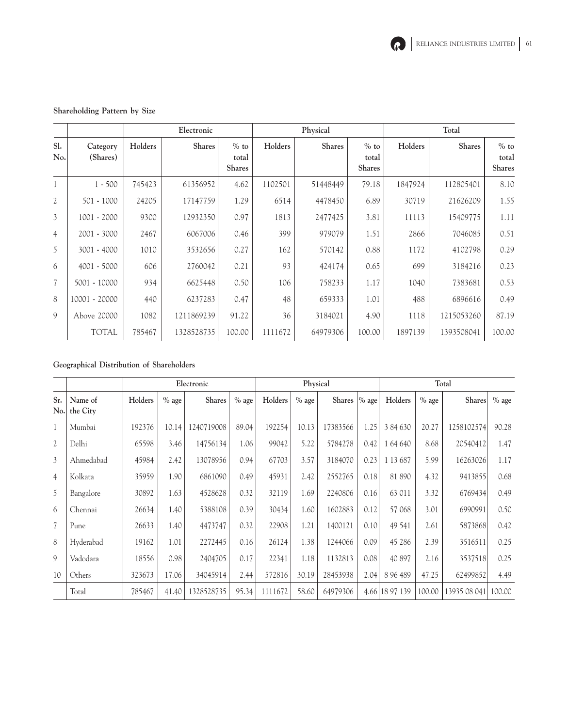

## **Shareholding Pattern by Size**

|                |                      | Electronic |               |                                  |         | Physical |                                  | Total   |            |                                  |  |
|----------------|----------------------|------------|---------------|----------------------------------|---------|----------|----------------------------------|---------|------------|----------------------------------|--|
| Sl.<br>No.     | Category<br>(Shares) | Holders    | <b>Shares</b> | $%$ to<br>total<br><b>Shares</b> | Holders | Shares   | $%$ to<br>total<br><b>Shares</b> | Holders | Shares     | $%$ to<br>total<br><b>Shares</b> |  |
|                | $1 - 500$            | 745423     | 61356952      | 4.62                             | 1102501 | 51448449 | 79.18                            | 1847924 | 112805401  | 8.10                             |  |
| $\mathfrak{2}$ | $501 - 1000$         | 24205      | 17147759      | 1.29                             | 6514    | 4478450  | 6.89                             | 30719   | 21626209   | 1.55                             |  |
| 3              | 1001 - 2000          | 9300       | 12932350      | 0.97                             | 1813    | 2477425  | 3.81                             | 11113   | 15409775   | 1.11                             |  |
| $\overline{4}$ | 2001 - 3000          | 2467       | 6067006       | 0.46                             | 399     | 979079   | 1.51                             | 2866    | 7046085    | 0.51                             |  |
| 5              | 3001 - 4000          | 1010       | 3532656       | 0.27                             | 162     | 570142   | 0.88                             | 1172    | 4102798    | 0.29                             |  |
| 6              | 4001 - 5000          | 606        | 2760042       | 0.21                             | 93      | 424174   | 0.65                             | 699     | 3184216    | 0.23                             |  |
| $\overline{7}$ | 5001 - 10000         | 934        | 6625448       | 0.50                             | 106     | 758233   | 1.17                             | 1040    | 7383681    | 0.53                             |  |
| 8              | 10001 - 20000        | 440        | 6237283       | 0.47                             | 48      | 659333   | 1.01                             | 488     | 6896616    | 0.49                             |  |
| 9              | Above 20000          | 1082       | 1211869239    | 91.22                            | 36      | 3184021  | 4.90                             | 1118    | 1215053260 | 87.19                            |  |
|                | <b>TOTAL</b>         | 785467     | 1328528735    | 100.00                           | 1111672 | 64979306 | 100.00                           | 1897139 | 1393508041 | 100.00                           |  |

## **Geographical Distribution of Shareholders**

|                |                     | Electronic |         |               | Physical |         |         | Total         |      |                |         |               |         |
|----------------|---------------------|------------|---------|---------------|----------|---------|---------|---------------|------|----------------|---------|---------------|---------|
| Sr.<br>No.     | Name of<br>the City | Holders    | $%$ age | <b>Shares</b> | $%$ age  | Holders | $%$ age | Shares  % age |      | Holders        | $%$ age | <b>Shares</b> | $%$ age |
| 1              | Mumbai              | 192376     | 10.14   | 1240719008    | 89.04    | 192254  | 10.13   | 17383566      | 1.25 | 3 84 630       | 20.27   | 1258102574    | 90.28   |
| $\overline{2}$ | Delhi               | 65598      | 3.46    | 14756134      | 1.06     | 99042   | 5.22    | 5784278       | 0.42 | 1 64 640       | 8.68    | 20540412      | 1.47    |
| 3              | Ahmedabad           | 45984      | 2.42    | 13078956      | 0.94     | 67703   | 3.57    | 3184070       | 0.23 | 1 13 687       | 5.99    | 16263026      | 1.17    |
| $\overline{4}$ | Kolkata             | 35959      | 1.90    | 6861090       | 0.49     | 45931   | 2.42    | 2552765       | 0.18 | 81 890         | 4.32    | 9413855       | 0.68    |
| 5              | Bangalore           | 30892      | 1.63    | 4528628       | 0.32     | 32119   | 1.69    | 2240806       | 0.16 | 63 011         | 3.32    | 6769434       | 0.49    |
| 6              | Chennai             | 26634      | 1.40    | 5388108       | 0.39     | 30434   | 1.60    | 1602883       | 0.12 | 57 068         | 3.01    | 6990991       | 0.50    |
| 7              | Pune                | 26633      | 1.40    | 4473747       | 0.32     | 22908   | 1.21    | 1400121       | 0.10 | 49 541         | 2.61    | 5873868       | 0.42    |
| 8              | Hyderabad           | 19162      | 1.01    | 2272445       | 0.16     | 26124   | 1.38    | 1244066       | 0.09 | 45 28 6        | 2.39    | 3516511       | 0.25    |
| 9              | Vadodara            | 18556      | 0.98    | 2404705       | 0.17     | 22341   | 1.18    | 1132813       | 0.08 | 40 897         | 2.16    | 3537518       | 0.25    |
| 10             | Others              | 323673     | 17.06   | 34045914      | 2.44     | 572816  | 30.19   | 28453938      | 2.04 | 8 9 6 4 8 9    | 47.25   | 62499852      | 4.49    |
|                | Total               | 785467     | 41.40   | 1328528735    | 95.34    | 1111672 | 58.60   | 64979306      |      | 4.66 18 97 139 | 100.00  | 13935 08 041  | 100.00  |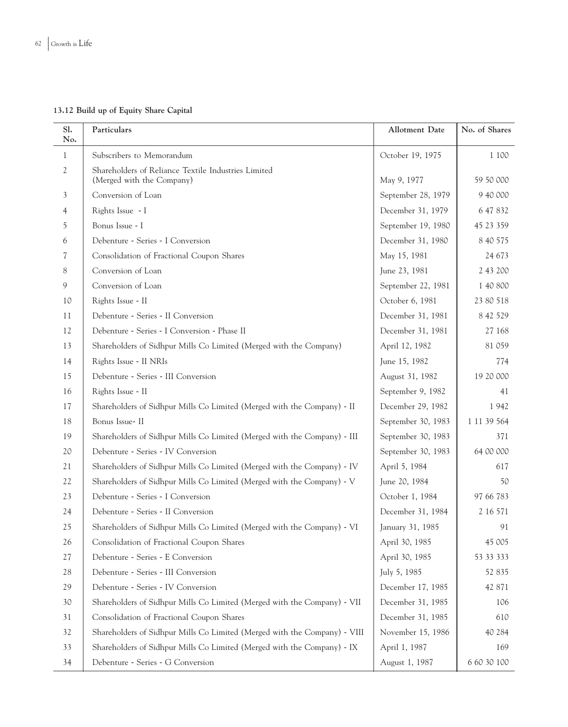**13.12 Build up of Equity Share Capital**

| SI.<br>No.     | Particulars                                                                      | Allotment Date     | No. of Shares |
|----------------|----------------------------------------------------------------------------------|--------------------|---------------|
| 1              | Subscribers to Memorandum                                                        | October 19, 1975   | 1 100         |
| $\mathfrak{2}$ | Shareholders of Reliance Textile Industries Limited<br>(Merged with the Company) | May 9, 1977        | 59 50 000     |
| 3              | Conversion of Loan                                                               | September 28, 1979 | 9 40 000      |
| 4              | Rights Issue - I                                                                 | December 31, 1979  | 6 47 832      |
| 5              | Bonus Issue - I                                                                  | September 19, 1980 | 45 23 359     |
| 6              | Debenture - Series - I Conversion                                                | December 31, 1980  | 8 40 5 75     |
| 7              | Consolidation of Fractional Coupon Shares                                        | May 15, 1981       | 24 673        |
| 8              | Conversion of Loan                                                               | June 23, 1981      | 2 43 200      |
| 9              | Conversion of Loan                                                               | September 22, 1981 | 1 40 800      |
| 10             | Rights Issue - II                                                                | October 6, 1981    | 23 80 518     |
| 11             | Debenture - Series - II Conversion                                               | December 31, 1981  | 8 42 529      |
| 12             | Debenture - Series - I Conversion - Phase II                                     | December 31, 1981  | 27 168        |
| 13             | Shareholders of Sidhpur Mills Co Limited (Merged with the Company)               | April 12, 1982     | 81 059        |
| 14             | Rights Issue - II NRIs                                                           | June 15, 1982      | 774           |
| 15             | Debenture - Series - III Conversion                                              | August 31, 1982    | 19 20 000     |
| 16             | Rights Issue - II                                                                | September 9, 1982  | 41            |
| 17             | Shareholders of Sidhpur Mills Co Limited (Merged with the Company) - II          | December 29, 1982  | 1942          |
| 18             | Bonus Issue- II                                                                  | September 30, 1983 | 1 11 39 564   |
| 19             | Shareholders of Sidhpur Mills Co Limited (Merged with the Company) - III         | September 30, 1983 | 371           |
| 20             | Debenture - Series - IV Conversion                                               | September 30, 1983 | 64 00 000     |
| 21             | Shareholders of Sidhpur Mills Co Limited (Merged with the Company) - IV          | April 5, 1984      | 617           |
| 22             | Shareholders of Sidhpur Mills Co Limited (Merged with the Company) - V           | June 20, 1984      | 50            |
| 23             | Debenture - Series - I Conversion                                                | October 1, 1984    | 97 66 783     |
| 24             | Debenture - Series - II Conversion                                               | December 31, 1984  | 2 16 5 71     |
| 25             | Shareholders of Sidhpur Mills Co Limited (Merged with the Company) - VI          | January 31, 1985   | 91            |
| 26             | Consolidation of Fractional Coupon Shares                                        | April 30, 1985     | 45 005        |
| 27             | Debenture - Series - E Conversion                                                | April 30, 1985     | 53 33 333     |
| 28             | Debenture - Series - III Conversion                                              | July 5, 1985       | 52 835        |
| 29             | Debenture - Series - IV Conversion                                               | December 17, 1985  | 42 871        |
| 30             | Shareholders of Sidhpur Mills Co Limited (Merged with the Company) - VII         | December 31, 1985  | 106           |
| 31             | Consolidation of Fractional Coupon Shares                                        | December 31, 1985  | 610           |
| 32             | Shareholders of Sidhpur Mills Co Limited (Merged with the Company) - VIII        | November 15, 1986  | 40 284        |
| 33             | Shareholders of Sidhpur Mills Co Limited (Merged with the Company) - IX          | April 1, 1987      | 169           |
| 34             | Debenture - Series - G Conversion                                                | August 1, 1987     | 6 60 30 100   |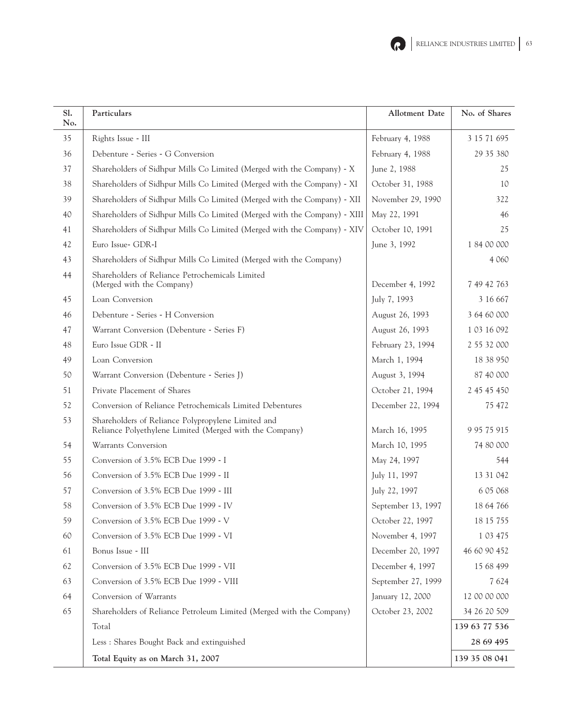

| Sl.<br>No. | Particulars                                                                                                   | <b>Allotment Date</b> | No. of Shares |
|------------|---------------------------------------------------------------------------------------------------------------|-----------------------|---------------|
| 35         | Rights Issue - III                                                                                            | February 4, 1988      | 3 15 71 695   |
| 36         | Debenture - Series - G Conversion                                                                             | February 4, 1988      | 29 35 380     |
| 37         | Shareholders of Sidhpur Mills Co Limited (Merged with the Company) - X                                        | June 2, 1988          | 25            |
| 38         | Shareholders of Sidhpur Mills Co Limited (Merged with the Company) - XI                                       | October 31, 1988      | 10            |
| 39         | Shareholders of Sidhpur Mills Co Limited (Merged with the Company) - XII                                      | November 29, 1990     | 322           |
| 40         | Shareholders of Sidhpur Mills Co Limited (Merged with the Company) - XIII                                     | May 22, 1991          | 46            |
| 41         | Shareholders of Sidhpur Mills Co Limited (Merged with the Company) - XIV                                      | October 10, 1991      | 25            |
| 42         | Euro Issue- GDR-I                                                                                             | June 3, 1992          | 1 84 00 000   |
| 43         | Shareholders of Sidhpur Mills Co Limited (Merged with the Company)                                            |                       | 4 0 6 0       |
| 44         | Shareholders of Reliance Petrochemicals Limited<br>(Merged with the Company)                                  | December 4, 1992      | 7 49 42 763   |
| 45         | Loan Conversion                                                                                               | July 7, 1993          | 3 16 667      |
| 46         | Debenture - Series - H Conversion                                                                             | August 26, 1993       | 3 64 60 000   |
| 47         | Warrant Conversion (Debenture - Series F)                                                                     | August 26, 1993       | 1 03 16 092   |
| 48         | Euro Issue GDR - II                                                                                           | February 23, 1994     | 2 55 32 000   |
| 49         | Loan Conversion                                                                                               | March 1, 1994         | 18 38 950     |
| 50         | Warrant Conversion (Debenture - Series J)                                                                     | August 3, 1994        | 87 40 000     |
| 51         | Private Placement of Shares                                                                                   | October 21, 1994      | 2 45 45 450   |
| 52         | Conversion of Reliance Petrochemicals Limited Debentures                                                      | December 22, 1994     | 75 472        |
| 53         | Shareholders of Reliance Polypropylene Limited and<br>Reliance Polyethylene Limited (Merged with the Company) | March 16, 1995        | 9 95 75 915   |
| 54         | Warrants Conversion                                                                                           | March 10, 1995        | 74 80 000     |
| 55         | Conversion of 3.5% ECB Due 1999 - I                                                                           | May 24, 1997          | 544           |
| 56         | Conversion of 3.5% ECB Due 1999 - II                                                                          | July 11, 1997         | 13 31 042     |
| 57         | Conversion of 3.5% ECB Due 1999 - III                                                                         | July 22, 1997         | 6 05 0 68     |
| 58         | Conversion of 3.5% ECB Due 1999 - IV                                                                          | September 13, 1997    | 18 64 766     |
| 59         | Conversion of 3.5% ECB Due 1999 - V                                                                           | October 22, 1997      | 18 15 755     |
| 60         | Conversion of 3.5% ECB Due 1999 - VI                                                                          | November 4, 1997      | 1 03 4 75     |
| 61         | Bonus Issue - III                                                                                             | December 20, 1997     | 46 60 90 452  |
| 62         | Conversion of 3.5% ECB Due 1999 - VII                                                                         | December 4, 1997      | 15 68 499     |
| 63         | Conversion of 3.5% ECB Due 1999 - VIII                                                                        | September 27, 1999    | 7 6 2 4       |
| 64         | Conversion of Warrants                                                                                        | January 12, 2000      | 12 00 00 000  |
| 65         | Shareholders of Reliance Petroleum Limited (Merged with the Company)                                          | October 23, 2002      | 34 26 20 509  |
|            | Total                                                                                                         |                       | 139 63 77 536 |
|            | Less: Shares Bought Back and extinguished                                                                     |                       | 28 69 495     |
|            | Total Equity as on March 31, 2007                                                                             |                       | 139 35 08 041 |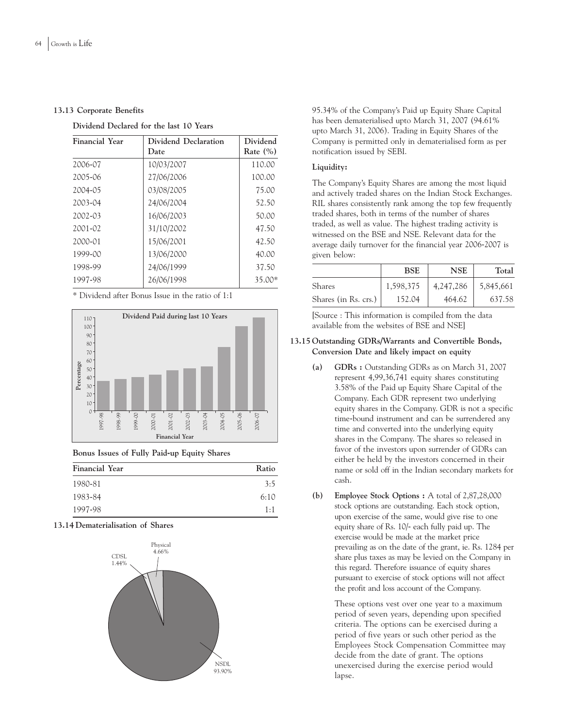### **13.13 Corporate Benefits**

### **Dividend Declared for the last 10 Years**

| Financial Year | Dividend Declaration<br>Date | Dividend<br>Rate $(\% )$ |
|----------------|------------------------------|--------------------------|
| 2006-07        | 10/03/2007                   | 110.00                   |
| 2005-06        | 27/06/2006                   | 100.00                   |
| 2004-05        | 03/08/2005                   | 75.00                    |
| 2003-04        | 24/06/2004                   | 52.50                    |
| 2002-03        | 16/06/2003                   | 50.00                    |
| 2001-02        | 31/10/2002                   | 47.50                    |
| 2000-01        | 15/06/2001                   | 42.50                    |
| 1999-00        | 13/06/2000                   | 40.00                    |
| 1998-99        | 24/06/1999                   | 37.50                    |
| 1997-98        | 26/06/1998                   | 35.00*                   |

\* Dividend after Bonus Issue in the ratio of 1:1



**Bonus Issues of Fully Paid-up Equity Shares**

| Financial Year | Ratio       |
|----------------|-------------|
| 1980-81        | 3:5         |
| 1983-84        | 6:10        |
| 1997-98        | $1 \cdot 1$ |

### **13.14 Dematerialisation of Shares**



95.34% of the Company's Paid up Equity Share Capital has been dematerialised upto March 31, 2007 (94.61% upto March 31, 2006). Trading in Equity Shares of the Company is permitted only in dematerialised form as per notification issued by SEBI.

## **Liquidity:**

The Company's Equity Shares are among the most liquid and actively traded shares on the Indian Stock Exchanges. RIL shares consistently rank among the top few frequently traded shares, both in terms of the number of shares traded, as well as value. The highest trading activity is witnessed on the BSE and NSE. Relevant data for the average daily turnover for the financial year 2006-2007 is given below:

|                      | BSE       | NSE       | Total     |
|----------------------|-----------|-----------|-----------|
| Shares               | 1,598,375 | 4,247,286 | 5,845,661 |
| Shares (in Rs. crs.) | 152.04    | 464.62    | 637.58    |

[Source : This information is compiled from the data available from the websites of BSE and NSE]

### **13.15 Outstanding GDRs/Warrants and Convertible Bonds, Conversion Date and likely impact on equity**

- **(a) GDRs :** Outstanding GDRs as on March 31, 2007 represent 4,99,36,741 equity shares constituting 3.58% of the Paid up Equity Share Capital of the Company. Each GDR represent two underlying equity shares in the Company. GDR is not a specific time-bound instrument and can be surrendered any time and converted into the underlying equity shares in the Company. The shares so released in favor of the investors upon surrender of GDRs can either be held by the investors concerned in their name or sold off in the Indian secondary markets for cash.
- **(b) Employee Stock Options :** A total of 2,87,28,000 stock options are outstanding. Each stock option, upon exercise of the same, would give rise to one equity share of Rs. 10/- each fully paid up. The exercise would be made at the market price prevailing as on the date of the grant, ie. Rs. 1284 per share plus taxes as may be levied on the Company in this regard. Therefore issuance of equity shares pursuant to exercise of stock options will not affect the profit and loss account of the Company.

These options vest over one year to a maximum period of seven years, depending upon specified criteria. The options can be exercised during a period of five years or such other period as the Employees Stock Compensation Committee may decide from the date of grant. The options unexercised during the exercise period would lapse.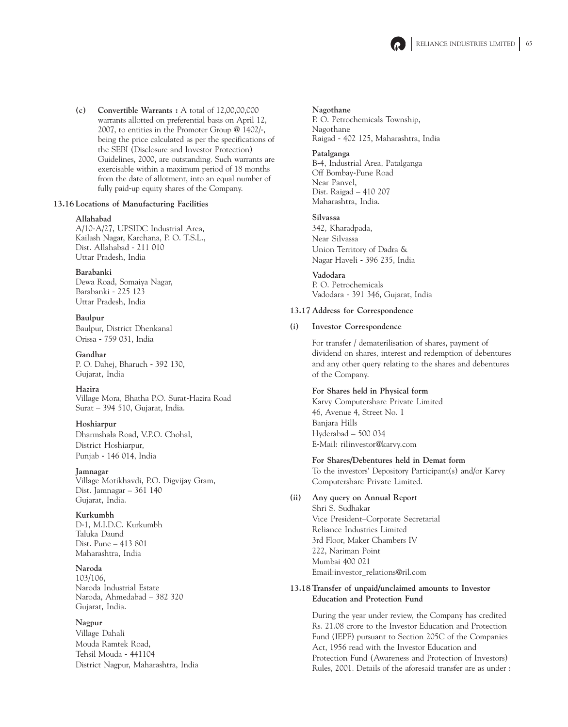

**(c) Convertible Warrants :** A total of 12,00,00,000 warrants allotted on preferential basis on April 12, 2007, to entities in the Promoter Group @ 1402/-, being the price calculated as per the specifications of the SEBI (Disclosure and Investor Protection) Guidelines, 2000, are outstanding. Such warrants are exercisable within a maximum period of 18 months from the date of allotment, into an equal number of fully paid-up equity shares of the Company.

### **13.16 Locations of Manufacturing Facilities**

### **Allahabad**

A/10-A/27, UPSIDC Industrial Area, Kailash Nagar, Karchana, P. O. T.S.L., Dist. Allahabad - 211 010 Uttar Pradesh, India

## **Barabanki** Dewa Road, Somaiya Nagar, Barabanki - 225 123

Uttar Pradesh, India **Baulpur**

Baulpur, District Dhenkanal Orissa - 759 031, India

**Gandhar** P. O. Dahej, Bharuch - 392 130, Gujarat, India

## **Hazira**

Village Mora, Bhatha P.O. Surat-Hazira Road Surat – 394 510, Gujarat, India.

## **Hoshiarpur**

Dharmshala Road, V.P.O. Chohal, District Hoshiarpur, Punjab - 146 014, India

## **Jamnagar**

Village Motikhavdi, P.O. Digvijay Gram, Dist. Jamnagar – 361 140 Gujarat, India.

## **Kurkumbh**

D-1, M.I.D.C. Kurkumbh Taluka Daund Dist. Pune – 413 801 Maharashtra, India

## **Naroda**

103/106, Naroda Industrial Estate Naroda, Ahmedabad – 382 320 Gujarat, India.

## **Nagpur**

Village Dahali Mouda Ramtek Road, Tehsil Mouda - 441104 District Nagpur, Maharashtra, India

### **Nagothane**

P. O. Petrochemicals Township, Nagothane Raigad - 402 125, Maharashtra, India

### **Patalganga**

B-4, Industrial Area, Patalganga Off Bombay-Pune Road Near Panvel, Dist. Raigad – 410 207 Maharashtra, India.

### **Silvassa**

342, Kharadpada, Near Silvassa Union Territory of Dadra & Nagar Haveli - 396 235, India

**Vadodara** P. O. Petrochemicals Vadodara - 391 346, Gujarat, India

### **13.17 Address for Correspondence**

### **(i) Investor Correspondence**

For transfer / dematerilisation of shares, payment of dividend on shares, interest and redemption of debentures and any other query relating to the shares and debentures of the Company.

## **For Shares held in Physical form**

Karvy Computershare Private Limited 46, Avenue 4, Street No. 1 Banjara Hills Hyderabad – 500 034 E-Mail: rilinvestor@karvy.com

## **For Shares/Debentures held in Demat form**

To the investors' Depository Participant(s) and/or Karvy Computershare Private Limited.

## **(ii) Any query on Annual Report**

Shri S. Sudhakar Vice President–Corporate Secretarial Reliance Industries Limited 3rd Floor, Maker Chambers IV 222, Nariman Point Mumbai 400 021 Email:investor\_relations@ril.com

## **13.18 Transfer of unpaid/unclaimed amounts to Investor Education and Protection Fund**

During the year under review, the Company has credited Rs. 21.08 crore to the Investor Education and Protection Fund (IEPF) pursuant to Section 205C of the Companies Act, 1956 read with the Investor Education and Protection Fund (Awareness and Protection of Investors) Rules, 2001. Details of the aforesaid transfer are as under :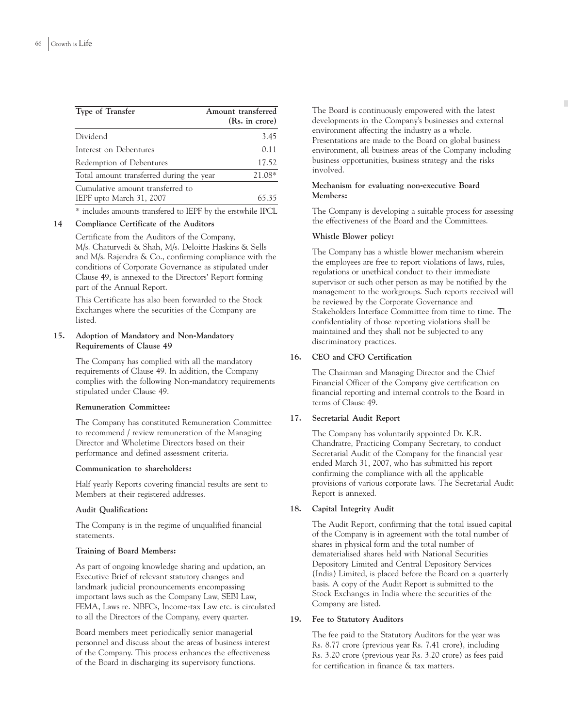| Type of Transfer                                             | Amount transferred<br>(Rs. in crore) |
|--------------------------------------------------------------|--------------------------------------|
| Dividend                                                     | 3.45                                 |
| Interest on Debentures                                       | 0.11                                 |
| Redemption of Debentures                                     | 17.52                                |
| Total amount transferred during the year                     | 21.08*                               |
| Cumulative amount transferred to<br>IEPF upto March 31, 2007 | 65.35                                |
| IPDP 1                                                       | 1.1<br>$T_{\rm D}$ $\cap$            |

\* includes amounts transfered to IEPF by the erstwhile IPCL

## **14 Compliance Certificate of the Auditors**

Certificate from the Auditors of the Company, M/s. Chaturvedi & Shah, M/s. Deloitte Haskins & Sells and M/s. Rajendra & Co., confirming compliance with the conditions of Corporate Governance as stipulated under Clause 49, is annexed to the Directors' Report forming part of the Annual Report.

This Certificate has also been forwarded to the Stock Exchanges where the securities of the Company are listed.

### **15. Adoption of Mandatory and Non-Mandatory Requirements of Clause 49**

The Company has complied with all the mandatory requirements of Clause 49. In addition, the Company complies with the following Non-mandatory requirements stipulated under Clause 49.

### **Remuneration Committee:**

The Company has constituted Remuneration Committee to recommend / review remuneration of the Managing Director and Wholetime Directors based on their performance and defined assessment criteria.

### **Communication to shareholders:**

Half yearly Reports covering financial results are sent to Members at their registered addresses.

## **Audit Qualification:**

The Company is in the regime of unqualified financial statements.

## **Training of Board Members:**

As part of ongoing knowledge sharing and updation, an Executive Brief of relevant statutory changes and landmark judicial pronouncements encompassing important laws such as the Company Law, SEBI Law, FEMA, Laws re. NBFCs, Income-tax Law etc. is circulated to all the Directors of the Company, every quarter.

Board members meet periodically senior managerial personnel and discuss about the areas of business interest of the Company. This process enhances the effectiveness of the Board in discharging its supervisory functions.

The Board is continuously empowered with the latest developments in the Company's businesses and external environment affecting the industry as a whole. Presentations are made to the Board on global business environment, all business areas of the Company including business opportunities, business strategy and the risks involved.

### **Mechanism for evaluating non-executive Board Members:**

The Company is developing a suitable process for assessing the effectiveness of the Board and the Committees.

## **Whistle Blower policy:**

The Company has a whistle blower mechanism wherein the employees are free to report violations of laws, rules, regulations or unethical conduct to their immediate supervisor or such other person as may be notified by the management to the workgroups. Such reports received will be reviewed by the Corporate Governance and Stakeholders Interface Committee from time to time. The confidentiality of those reporting violations shall be maintained and they shall not be subjected to any discriminatory practices.

## **16. CEO and CFO Certification**

The Chairman and Managing Director and the Chief Financial Officer of the Company give certification on financial reporting and internal controls to the Board in terms of Clause 49.

## **17. Secretarial Audit Report**

The Company has voluntarily appointed Dr. K.R. Chandratre, Practicing Company Secretary, to conduct Secretarial Audit of the Company for the financial year ended March 31, 2007, who has submitted his report confirming the compliance with all the applicable provisions of various corporate laws. The Secretarial Audit Report is annexed.

## **18. Capital Integrity Audit**

The Audit Report, confirming that the total issued capital of the Company is in agreement with the total number of shares in physical form and the total number of dematerialised shares held with National Securities Depository Limited and Central Depository Services (India) Limited, is placed before the Board on a quarterly basis. A copy of the Audit Report is submitted to the Stock Exchanges in India where the securities of the Company are listed.

### **19. Fee to Statutory Auditors**

The fee paid to the Statutory Auditors for the year was Rs. 8.77 crore (previous year Rs. 7.41 crore), including Rs. 3.20 crore (previous year Rs. 3.20 crore) as fees paid for certification in finance & tax matters.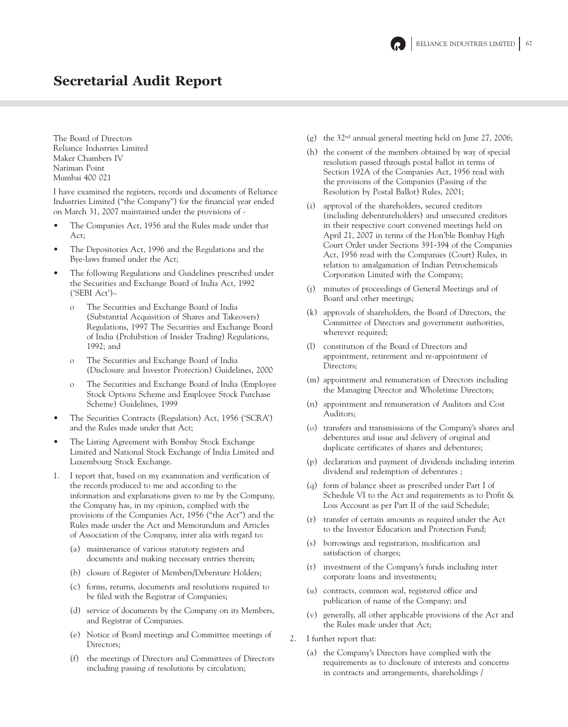

# Secretarial Audit Report

The Board of Directors Reliance Industries Limited Maker Chambers IV Nariman Point Mumbai 400 021

I have examined the registers, records and documents of Reliance Industries Limited ("the Company") for the financial year ended on March 31, 2007 maintained under the provisions of -

- The Companies Act, 1956 and the Rules made under that Act;
- The Depositories Act, 1996 and the Regulations and the Bye-laws framed under the Act;
- The following Regulations and Guidelines prescribed under the Securities and Exchange Board of India Act, 1992 ('SEBI Act')–
	- o The Securities and Exchange Board of India (Substantial Acquisition of Shares and Takeovers) Regulations, 1997 The Securities and Exchange Board of India (Prohibition of Insider Trading) Regulations, 1992; and
	- o The Securities and Exchange Board of India (Disclosure and Investor Protection) Guidelines, 2000
	- o The Securities and Exchange Board of India (Employee Stock Options Scheme and Employee Stock Purchase Scheme) Guidelines, 1999
- The Securities Contracts (Regulation) Act, 1956 ('SCRA') and the Rules made under that Act;
- The Listing Agreement with Bombay Stock Exchange Limited and National Stock Exchange of India Limited and Luxembourg Stock Exchange.
- 1. I report that, based on my examination and verification of the records produced to me and according to the information and explanations given to me by the Company, the Company has, in my opinion, complied with the provisions of the Companies Act, 1956 ("the Act") and the Rules made under the Act and Memorandum and Articles of Association of the Company, inter alia with regard to:
	- (a) maintenance of various statutory registers and documents and making necessary entries therein;
	- (b) closure of Register of Members/Debenture Holders;
	- (c) forms, returns, documents and resolutions required to be filed with the Registrar of Companies;
	- (d) service of documents by the Company on its Members, and Registrar of Companies.
	- (e) Notice of Board meetings and Committee meetings of Directors;
	- (f) the meetings of Directors and Committees of Directors including passing of resolutions by circulation;
- (g) the  $32<sup>nd</sup>$  annual general meeting held on June 27, 2006;
- (h) the consent of the members obtained by way of special resolution passed through postal ballot in terms of Section 192A of the Companies Act, 1956 read with the provisions of the Companies (Passing of the Resolution by Postal Ballot) Rules, 2001;
- (i) approval of the shareholders, secured creditors (including debentureholders) and unsecured creditors in their respective court convened meetings held on April 21, 2007 in terms of the Hon'ble Bombay High Court Order under Sections 391-394 of the Companies Act, 1956 read with the Companies (Court) Rules, in relation to amalgamation of Indian Petrochemicals Corporation Limited with the Company;
- (j) minutes of proceedings of General Meetings and of Board and other meetings;
- (k) approvals of shareholders, the Board of Directors, the Committee of Directors and government authorities, wherever required;
- (l) constitution of the Board of Directors and appointment, retirement and re-appointment of Directors;
- (m) appointment and remuneration of Directors including the Managing Director and Wholetime Directors;
- (n) appointment and remuneration of Auditors and Cost Auditors;
- (o) transfers and transmissions of the Company's shares and debentures and issue and delivery of original and duplicate certificates of shares and debentures;
- (p) declaration and payment of dividends including interim dividend and redemption of debentures ;
- (q) form of balance sheet as prescribed under Part I of Schedule VI to the Act and requirements as to Profit & Loss Account as per Part II of the said Schedule;
- (r) transfer of certain amounts as required under the Act to the Investor Education and Protection Fund;
- (s) borrowings and registration, modification and satisfaction of charges;
- (t) investment of the Company's funds including inter corporate loans and investments;
- (u) contracts, common seal, registered office and publication of name of the Company; and
- (v) generally, all other applicable provisions of the Act and the Rules made under that Act;
- 2. I further report that:
	- (a) the Company's Directors have complied with the requirements as to disclosure of interests and concerns in contracts and arrangements, shareholdings /